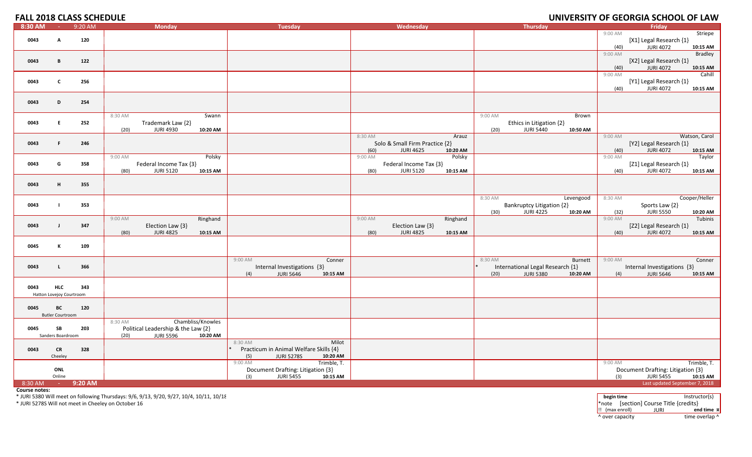#### **FALL 2018 CLASS SCHEDULE UNIVERSITY**

| $8:30$ AM | <b>College</b>           | $9:20$ AM | <b>Monday</b>                        | <b>Tuesday</b>                         | Wednesday                            | <b>Thursday</b>                                                          | Friday                                              |
|-----------|--------------------------|-----------|--------------------------------------|----------------------------------------|--------------------------------------|--------------------------------------------------------------------------|-----------------------------------------------------|
|           |                          |           |                                      |                                        |                                      |                                                                          | 9:00 AM<br>Striepe                                  |
| 0043      | A                        | 120       |                                      |                                        |                                      |                                                                          | [X1] Legal Research {1}                             |
|           |                          |           |                                      |                                        |                                      |                                                                          | <b>JURI 4072</b><br>10:15 AM<br>(40)                |
|           |                          |           |                                      |                                        |                                      |                                                                          | 9:00 AM<br><b>Bradley</b>                           |
| 0043      | B                        | 122       |                                      |                                        |                                      |                                                                          | [X2] Legal Research {1}                             |
|           |                          |           |                                      |                                        |                                      |                                                                          | <b>JURI 4072</b><br>10:15 AM<br>(40)                |
|           |                          |           |                                      |                                        |                                      |                                                                          | Cahill<br>9:00 AM                                   |
| 0043      | $\mathbf{c}$             | 256       |                                      |                                        |                                      |                                                                          | [Y1] Legal Research {1}<br><b>JURI 4072</b><br>(40) |
|           |                          |           |                                      |                                        |                                      |                                                                          | 10:15 AM                                            |
| 0043      | D                        | 254       |                                      |                                        |                                      |                                                                          |                                                     |
|           |                          |           |                                      |                                        |                                      |                                                                          |                                                     |
|           |                          |           | 8:30 AM<br>Swann                     |                                        |                                      | 9:00 AM<br>Brown                                                         |                                                     |
| 0043      | E.                       | 252       | Trademark Law {2}                    |                                        |                                      | Ethics in Litigation {2}                                                 |                                                     |
|           |                          |           | <b>JURI 4930</b><br>(20)<br>10:20 AM |                                        |                                      | <b>JURI 5440</b><br>(20)<br>10:50 AM                                     |                                                     |
|           |                          |           |                                      |                                        | 8:30 AM<br>Arauz                     |                                                                          | 9:00 AM<br>Watson, Carol                            |
| 0043      | F.                       | 246       |                                      |                                        | Solo & Small Firm Practice {2}       |                                                                          | [Y2] Legal Research {1}                             |
|           |                          |           |                                      |                                        | <b>JURI 4625</b><br>10:20 AM<br>(60) |                                                                          | <b>JURI 4072</b><br>10:15 AM<br>(40)                |
|           |                          |           | 9:00 AM<br>Polsky                    |                                        | 9:00 AM<br>Polsky                    |                                                                          | 9:00 AM<br>Taylor                                   |
| 0043      | G                        | 358       | Federal Income Tax {3}               |                                        | Federal Income Tax {3}               |                                                                          | [Z1] Legal Research {1}                             |
|           |                          |           | <b>JURI 5120</b><br>10:15 AM<br>(80) |                                        | <b>JURI 5120</b><br>(80)<br>10:15 AM |                                                                          | <b>JURI 4072</b><br>10:15 AM<br>(40)                |
|           |                          |           |                                      |                                        |                                      |                                                                          |                                                     |
| 0043      | н                        | 355       |                                      |                                        |                                      |                                                                          |                                                     |
|           |                          |           |                                      |                                        |                                      | 8:30 AM                                                                  | 8:30 AM<br>Cooper/Heller                            |
| 0043      |                          | 353       |                                      |                                        |                                      | Levengood                                                                | Sports Law {2}                                      |
|           |                          |           |                                      |                                        |                                      | <b>Bankruptcy Litigation {2}</b><br><b>JURI 4225</b><br>(30)<br>10:20 AM | (32)<br><b>JURI 5550</b><br>10:20 AM                |
|           |                          |           | Ringhand<br>9:00 AM                  |                                        | Ringhand<br>9:00 AM                  |                                                                          | 9:00 AM<br>Tubinis                                  |
| 0043      | $\mathbf{J}$             | 347       | Election Law {3}                     |                                        | Election Law {3}                     |                                                                          | [Z2] Legal Research {1}                             |
|           |                          |           | <b>JURI 4825</b><br>(80)<br>10:15 AM |                                        | <b>JURI 4825</b><br>(80)<br>10:15 AM |                                                                          | <b>JURI 4072</b><br>(40)<br>10:15 AM                |
|           |                          |           |                                      |                                        |                                      |                                                                          |                                                     |
| 0045      | К                        | 109       |                                      |                                        |                                      |                                                                          |                                                     |
|           |                          |           |                                      |                                        |                                      |                                                                          |                                                     |
|           |                          |           |                                      | 9:00 AM<br>Conner                      |                                      | 8:30 AM<br>Burnett                                                       | 9:00 AM<br>Conner                                   |
| 0043      | L.                       | 366       |                                      | Internal Investigations {3}            |                                      | International Legal Research {1}                                         | Internal Investigations {3}                         |
|           |                          |           |                                      | <b>JURI 5646</b><br>(4)<br>10:15 AM    |                                      | <b>JURI 5380</b><br>10:20 AM<br>(20)                                     | <b>JURI 5646</b><br>10:15 AM<br>(4)                 |
|           |                          |           |                                      |                                        |                                      |                                                                          |                                                     |
| 0043      | <b>HLC</b>               | 343       |                                      |                                        |                                      |                                                                          |                                                     |
|           | Hatton Lovejoy Courtroom |           |                                      |                                        |                                      |                                                                          |                                                     |
| 0045      | BC                       | 120       |                                      |                                        |                                      |                                                                          |                                                     |
|           | <b>Butler Courtroom</b>  |           |                                      |                                        |                                      |                                                                          |                                                     |
|           |                          |           | Chambliss/Knowles<br>8:30 AM         |                                        |                                      |                                                                          |                                                     |
| 0045      | SB                       | 203       | Political Leadership & the Law {2}   |                                        |                                      |                                                                          |                                                     |
|           | Sanders Boardroom        |           | <b>JURI 5596</b><br>10:20 AM<br>(20) |                                        |                                      |                                                                          |                                                     |
|           |                          |           |                                      | 8:30 AM<br>Milot                       |                                      |                                                                          |                                                     |
| 0043      | <b>CR</b>                | 328       |                                      | Practicum in Animal Welfare Skills {4} |                                      |                                                                          |                                                     |
|           | Cheeley                  |           |                                      | <b>JURI 5278S</b><br>10:20 AM<br>(5)   |                                      |                                                                          |                                                     |
|           |                          |           |                                      | 9:00 AM<br>Trimble, T.                 |                                      |                                                                          | Trimble, T.<br>9:00 AM                              |
|           | ONL                      |           |                                      | Document Drafting: Litigation {3}      |                                      |                                                                          | Document Drafting: Litigation {3}                   |
|           | Online                   |           |                                      | <b>JURI 5455</b><br>(3)<br>10:15 AM    |                                      |                                                                          | <b>JURI 5455</b><br>(3)<br>10:15 AM                 |
| 8:30 AM   | <b>Common</b>            | 9:20 AM   |                                      |                                        |                                      |                                                                          | Last updated September 7, 2018                      |

**Course notes:**

\* JURI 5380 Will meet on following Thursdays: 9/6, 9/13, 9/20, 9/27, 10/4, 10/11, 10/18 **begining time** Instructor(s)<br>\* JURI 5278S Will not meet in Cheeley on October 16 **begins of the formulation** of the formulation of th !! (max enroll) JURI **end time ¤** ^ over capacity dime overlap ^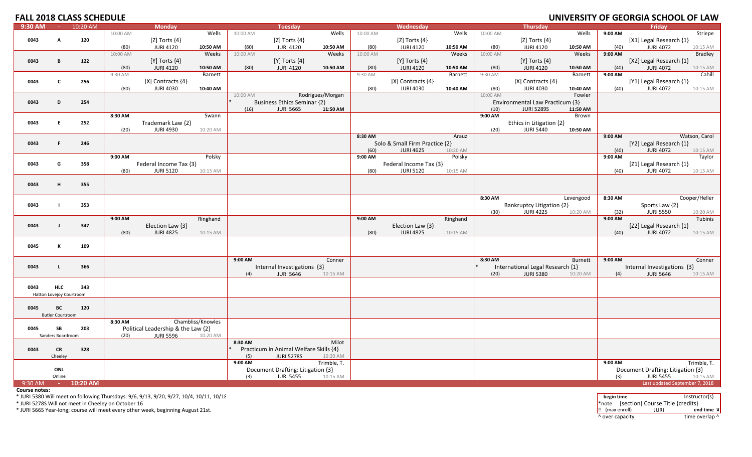## **FALL 2018**

| <b>FALL 2018 CLASS SCHEDULE</b> |                          |          |                  |                                    |                   |                  |                                                             |                   |                  |                                |                   |                  |                                  |                   |                 | UNIVERSITY OF GEORGIA SCHOOL OF LAW |                     |
|---------------------------------|--------------------------|----------|------------------|------------------------------------|-------------------|------------------|-------------------------------------------------------------|-------------------|------------------|--------------------------------|-------------------|------------------|----------------------------------|-------------------|-----------------|-------------------------------------|---------------------|
| 9:30 AM                         | $\sim 10^{-10}$          | 10:20 AM |                  | <b>Monday</b>                      |                   |                  | <b>Tuesday</b>                                              |                   |                  | Wednesday                      |                   |                  | <b>Thursday</b>                  |                   |                 | Fridav                              |                     |
|                                 |                          |          | 10:00 AM         |                                    | Wells             | 10:00 AM         |                                                             | Wells             | 10:00 AM         |                                | Wells             | 10:00 AM         |                                  | Wells             | 9:00 AM         |                                     | Striepe             |
| 0043                            | A                        | 120      |                  | [ $Z$ ] Torts $\{4\}$              |                   |                  | [Z] Torts $\{4\}$                                           |                   |                  | [Z] Torts $\{4\}$              |                   |                  | [Z] Torts $\{4\}$                |                   |                 | [X1] Legal Research {1}             |                     |
|                                 |                          |          | (80)<br>10:00 AM | <b>JURI 4120</b>                   | 10:50 AM<br>Weeks | (80)<br>10:00 AM | <b>JURI 4120</b>                                            | 10:50 AM<br>Weeks | (80)<br>10:00 AM | <b>JURI 4120</b>               | 10:50 AM<br>Weeks | (80)<br>10:00 AM | <b>JURI 4120</b>                 | 10:50 AM<br>Weeks | (40)<br>9:00 AM | <b>JURI 4072</b>                    | 10:15 AM<br>Bradley |
| 0043                            | В                        | 122      |                  | $[Y]$ Torts $\{4\}$                |                   |                  | $[Y]$ Torts $\{4\}$                                         |                   |                  | $[Y]$ Torts $\{4\}$            |                   |                  | [Y] Torts $\{4\}$                |                   |                 | [X2] Legal Research {1}             |                     |
|                                 |                          |          | (80)             | <b>JURI 4120</b>                   | 10:50 AM          | (80)             | <b>JURI 4120</b>                                            | 10:50 AM          | (80)             | <b>JURI 4120</b>               | 10:50 AM          | (80)             | <b>JURI 4120</b>                 | 10:50 AM          | (40)            | <b>JURI 4072</b>                    | 10:15 AM            |
|                                 |                          |          | 9:30 AM          |                                    | Barnett           |                  |                                                             |                   | 9:30 AM          |                                | Barnett           | 9:30 AM          |                                  | Barnett           | 9:00 AM         |                                     | Cahill              |
| 0043                            | $\mathbf{c}$             | 256      |                  | $[X]$ Contracts $\{4\}$            |                   |                  |                                                             |                   |                  | $[X]$ Contracts $\{4\}$        |                   |                  | $[X]$ Contracts $\{4\}$          |                   |                 | [Y1] Legal Research {1}             |                     |
|                                 |                          |          | (80)             | <b>JURI 4030</b>                   | 10:40 AM          |                  |                                                             |                   | (80)             | <b>JURI 4030</b>               | 10:40 AM          | (80)             | <b>JURI 4030</b>                 | 10:40 AM          | (40)            | <b>JURI 4072</b>                    | 10:15 AM            |
|                                 |                          |          |                  |                                    |                   | 10:00 AM         |                                                             | Rodrigues/Morgan  |                  |                                |                   | 10:00 AM         |                                  | Fowler            |                 |                                     |                     |
| 0043                            | D                        | 254      |                  |                                    |                   |                  | <b>Business Ethics Seminar {2}</b>                          |                   |                  |                                |                   |                  | Environmental Law Practicum {3}  |                   |                 |                                     |                     |
|                                 |                          |          |                  |                                    |                   | (16)             | <b>JURI 5665</b>                                            | 11:50 AM          |                  |                                |                   | (10)             | <b>JURI 5289S</b>                | 11:50 AM          |                 |                                     |                     |
| 0043                            | E.                       | 252      | 8:30 AM          | Trademark Law {2}                  | Swann             |                  |                                                             |                   |                  |                                |                   | 9:00 AM          | Ethics in Litigation {2}         | Brown             |                 |                                     |                     |
|                                 |                          |          | (20)             | <b>JURI 4930</b>                   | 10:20 AM          |                  |                                                             |                   |                  |                                |                   | (20)             | <b>JURI 5440</b>                 | 10:50 AM          |                 |                                     |                     |
|                                 |                          |          |                  |                                    |                   |                  |                                                             |                   | 8:30 AM          |                                | Arauz             |                  |                                  |                   | 9:00 AM         |                                     | Watson, Carol       |
| 0043                            | F.                       | 246      |                  |                                    |                   |                  |                                                             |                   |                  | Solo & Small Firm Practice {2} |                   |                  |                                  |                   |                 | [Y2] Legal Research {1}             |                     |
|                                 |                          |          |                  |                                    |                   |                  |                                                             |                   | (60)             | <b>JURI 4625</b>               | 10:20 AM          |                  |                                  |                   | (40)            | <b>JURI 4072</b>                    | 10:15 AM            |
|                                 |                          |          | 9:00 AM          |                                    | Polsky            |                  |                                                             |                   | 9:00 AM          |                                | Polsky            |                  |                                  |                   | 9:00 AM         |                                     | Taylor              |
| 0043                            | G                        | 358      |                  | Federal Income Tax {3}             |                   |                  |                                                             |                   |                  | Federal Income Tax {3}         |                   |                  |                                  |                   |                 | [Z1] Legal Research {1}             |                     |
|                                 |                          |          | (80)             | <b>JURI 5120</b>                   | 10:15 AM          |                  |                                                             |                   | (80)             | <b>JURI 5120</b>               | 10:15 AM          |                  |                                  |                   | (40)            | <b>JURI 4072</b>                    | 10:15 AM            |
| 0043                            | н.                       | 355      |                  |                                    |                   |                  |                                                             |                   |                  |                                |                   |                  |                                  |                   |                 |                                     |                     |
|                                 |                          |          |                  |                                    |                   |                  |                                                             |                   |                  |                                |                   |                  |                                  |                   |                 |                                     |                     |
|                                 |                          |          |                  |                                    |                   |                  |                                                             |                   |                  |                                |                   | 8:30 AM          |                                  | Levengood         | 8:30 AM         |                                     | Cooper/Heller       |
| 0043                            |                          | 353      |                  |                                    |                   |                  |                                                             |                   |                  |                                |                   |                  | Bankruptcy Litigation {2}        |                   |                 | Sports Law {2}                      |                     |
|                                 |                          |          |                  |                                    |                   |                  |                                                             |                   |                  |                                |                   | (30)             | <b>JURI 4225</b>                 | 10:20 AM          | (32)            | <b>JURI 5550</b>                    | 10:20 AM            |
|                                 |                          |          | 9:00 AM          |                                    | Ringhand          |                  |                                                             |                   | 9:00 AM          |                                | Ringhand          |                  |                                  |                   | 9:00 AM         |                                     | Tubinis             |
| 0043                            | $\mathbf{I}$             | 347      |                  | Election Law {3}                   |                   |                  |                                                             |                   |                  | Election Law {3}               |                   |                  |                                  |                   |                 | [Z2] Legal Research {1}             |                     |
|                                 |                          |          | (80)             | <b>JURI 4825</b>                   | 10:15 AM          |                  |                                                             |                   | (80)             | <b>JURI 4825</b>               | 10:15 AM          |                  |                                  |                   | (40)            | <b>JURI 4072</b>                    | 10:15 AM            |
| 0045                            | К                        | 109      |                  |                                    |                   |                  |                                                             |                   |                  |                                |                   |                  |                                  |                   |                 |                                     |                     |
|                                 |                          |          |                  |                                    |                   |                  |                                                             |                   |                  |                                |                   |                  |                                  |                   |                 |                                     |                     |
|                                 |                          |          |                  |                                    |                   | 9:00 AM          |                                                             | Conner            |                  |                                |                   | 8:30 AM          |                                  | <b>Burnett</b>    | 9:00 AM         |                                     | Conner              |
| 0043                            | $\mathsf{L}$             | 366      |                  |                                    |                   |                  | Internal Investigations {3}                                 |                   |                  |                                |                   |                  | International Legal Research {1} |                   |                 | Internal Investigations {3}         |                     |
|                                 |                          |          |                  |                                    |                   | (4)              | <b>JURI 5646</b>                                            | 10:15 AM          |                  |                                |                   | (20)             | <b>JURI 5380</b>                 | 10:20 AM          | (4)             | <b>JURI 5646</b>                    | 10:15 AM            |
|                                 |                          |          |                  |                                    |                   |                  |                                                             |                   |                  |                                |                   |                  |                                  |                   |                 |                                     |                     |
| 0043                            | <b>HLC</b>               | 343      |                  |                                    |                   |                  |                                                             |                   |                  |                                |                   |                  |                                  |                   |                 |                                     |                     |
|                                 | Hatton Lovejoy Courtroom |          |                  |                                    |                   |                  |                                                             |                   |                  |                                |                   |                  |                                  |                   |                 |                                     |                     |
| 0045                            | BC                       | 120      |                  |                                    |                   |                  |                                                             |                   |                  |                                |                   |                  |                                  |                   |                 |                                     |                     |
|                                 | <b>Butler Courtroom</b>  |          |                  |                                    |                   |                  |                                                             |                   |                  |                                |                   |                  |                                  |                   |                 |                                     |                     |
|                                 |                          |          | 8:30 AM          |                                    | Chambliss/Knowles |                  |                                                             |                   |                  |                                |                   |                  |                                  |                   |                 |                                     |                     |
| 0045                            | SB                       | 203      |                  | Political Leadership & the Law {2} |                   |                  |                                                             |                   |                  |                                |                   |                  |                                  |                   |                 |                                     |                     |
|                                 | Sanders Boardroom        |          | (20)             | <b>JURI 5596</b>                   | 10:20 AM          |                  |                                                             |                   |                  |                                |                   |                  |                                  |                   |                 |                                     |                     |
|                                 |                          |          |                  |                                    |                   | 8:30 AM          |                                                             | Milot             |                  |                                |                   |                  |                                  |                   |                 |                                     |                     |
| 0043                            | <b>CR</b><br>Cheelev     | 328      |                  |                                    |                   |                  | Practicum in Animal Welfare Skills {4}<br><b>JURI 5278S</b> | 10:20 AM          |                  |                                |                   |                  |                                  |                   |                 |                                     |                     |
|                                 |                          |          |                  |                                    |                   | (5)<br>9:00 AM   |                                                             | Trimble, T.       |                  |                                |                   |                  |                                  |                   | 9:00 AM         |                                     | Trimble, T.         |
|                                 | ONL                      |          |                  |                                    |                   |                  | Document Drafting: Litigation {3}                           |                   |                  |                                |                   |                  |                                  |                   |                 | Document Drafting: Litigation {3}   |                     |
|                                 | Online                   |          |                  |                                    |                   | (3)              | <b>JURI 5455</b>                                            | 10:15 AM          |                  |                                |                   |                  |                                  |                   | (3)             | <b>JURI 5455</b>                    | 10:15 AM            |
| 9:30 AM                         | <b>Carl Co</b>           | 10:20 AM |                  |                                    |                   |                  |                                                             |                   |                  |                                |                   |                  |                                  |                   |                 | Last updated September 7, 2018      |                     |

**Course notes:**

\* JURI 5380 Will meet on following Thursdays: 9/6, 9/13, 9/20, 9/27, 10/4, 10/11, 10/18 **begin time** Instructor(s)

\* JURI 5278S Will not meet in

\* JURI 5665 Year‐long; course will meet every other week, beginning August 21st. !! (max enroll) JURI **end time ¤**

\*note [section] Course Title {credits}<br> $\begin{array}{ll}\n\text{[Section]} & \text{[JURI]} \\
\text{[In a] In a 10001}\n\end{array}$ ^ over capacity dime overlap ^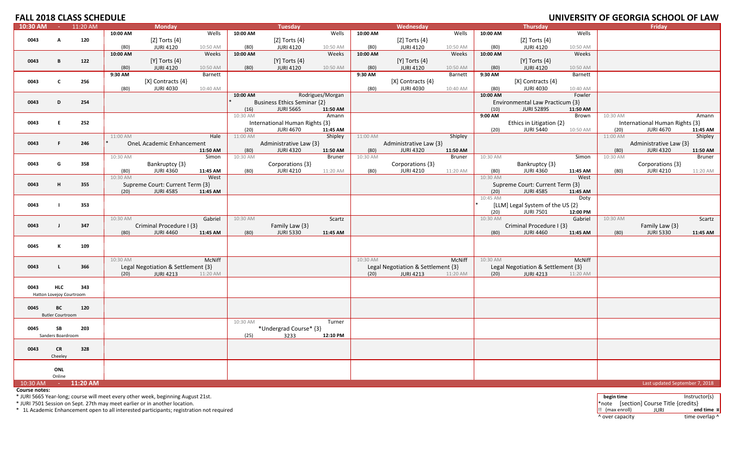# **FALL 2018**

| <b>FALL 2018 CLASS SCHEDULE</b> |                          |             |                 |                                    |                     |          |                                    |                  |                 |                                    |                     |                  |                                    |                     |          | UNIVERSITY OF GEORGIA SCHOOL OF LAW |          |
|---------------------------------|--------------------------|-------------|-----------------|------------------------------------|---------------------|----------|------------------------------------|------------------|-----------------|------------------------------------|---------------------|------------------|------------------------------------|---------------------|----------|-------------------------------------|----------|
| 10:30 AM                        |                          | $-11:20$ AM |                 | <b>Monday</b>                      |                     |          | <b>Tuesday</b>                     |                  |                 | Wednesday                          |                     |                  | <b>Thursday</b>                    |                     |          | Fridav                              |          |
|                                 |                          |             | 10:00 AM        |                                    | Wells               | 10:00 AM |                                    | Wells            | 10:00 AM        |                                    | Wells               | 10:00 AM         |                                    | Wells               |          |                                     |          |
| 0043                            | А                        | 120         |                 | [Z] Torts $\{4\}$                  |                     |          | [ $Z$ ] Torts $\{4\}$              |                  |                 | [ $Z$ ] Torts $\{4\}$              |                     |                  | [Z] Torts $\{4\}$                  |                     |          |                                     |          |
|                                 |                          |             | (80)            | <b>JURI 4120</b>                   | 10:50 AM            | (80)     | <b>JURI 4120</b>                   | 10:50 AM         | (80)            | <b>JURI 4120</b>                   | 10:50 AM            | (80)             | <b>JURI 4120</b>                   | 10:50 AM            |          |                                     |          |
|                                 |                          |             | 10:00 AM        |                                    | Weeks               | 10:00 AM |                                    | Weeks            | 10:00 AM        |                                    | Weeks               | 10:00 AM         |                                    | Weeks               |          |                                     |          |
| 0043                            | B                        | 122         |                 | $[Y]$ Torts $\{4\}$                |                     |          | [Y] Torts $\{4\}$                  |                  |                 | $[Y]$ Torts $\{4\}$                |                     |                  | $[Y]$ Torts $\{4\}$                |                     |          |                                     |          |
|                                 |                          |             | (80)<br>9:30 AM | <b>JURI 4120</b>                   | 10:50 AM<br>Barnett | (80)     | <b>JURI 4120</b>                   | 10:50 AM         | (80)<br>9:30 AM | <b>JURI 4120</b>                   | 10:50 AM<br>Barnett | (80)<br>9:30 AM  | <b>JURI 4120</b>                   | 10:50 AM<br>Barnett |          |                                     |          |
| 0043                            | $\mathbf c$              | 256         |                 | $[X]$ Contracts $\{4\}$            |                     |          |                                    |                  |                 | [X] Contracts {4}                  |                     |                  | $[X]$ Contracts $\{4\}$            |                     |          |                                     |          |
|                                 |                          |             | (80)            | <b>JURI 4030</b>                   | 10:40 AM            |          |                                    |                  | (80)            | <b>JURI 4030</b>                   | 10:40 AM            | (80)             | <b>JURI 4030</b>                   | 10:40 AM            |          |                                     |          |
|                                 |                          |             |                 |                                    |                     | 10:00 AM |                                    | Rodrigues/Morgan |                 |                                    |                     | 10:00 AM         |                                    | Fowler              |          |                                     |          |
| 0043                            | D                        | 254         |                 |                                    |                     |          | <b>Business Ethics Seminar {2}</b> |                  |                 |                                    |                     |                  | Environmental Law Practicum {3}    |                     |          |                                     |          |
|                                 |                          |             |                 |                                    |                     | (16)     | <b>JURI 5665</b>                   | 11:50 AM         |                 |                                    |                     | (10)             | <b>JURI 5289S</b>                  | 11:50 AM            |          |                                     |          |
|                                 |                          |             |                 |                                    |                     | 10:30 AM |                                    | Amann            |                 |                                    |                     | 9:00 AM          |                                    | Brown               | 10:30 AM |                                     | Amann    |
| 0043                            | E.                       | 252         |                 |                                    |                     |          | International Human Rights {3}     |                  |                 |                                    |                     |                  | Ethics in Litigation {2}           |                     |          | International Human Rights {3}      |          |
|                                 |                          |             |                 |                                    |                     | (20)     | <b>JURI 4670</b>                   | 11:45 AM         |                 |                                    |                     | (20)             | <b>JURI 5440</b>                   | 10:50 AM            | (20)     | JURI 4670                           | 11:45 AM |
|                                 |                          |             | 11:00 AM        |                                    | Hale                | 11:00 AM |                                    | Shipley          | 11:00 AM        |                                    | Shipley             |                  |                                    |                     | 11:00 AM |                                     | Shipley  |
| 0043                            | F.                       | 246         |                 | <b>OneL Academic Enhancement</b>   |                     |          | Administrative Law {3}             |                  |                 | Administrative Law {3}             |                     |                  |                                    |                     |          | Administrative Law {3}              |          |
|                                 |                          |             |                 |                                    | 11:50 AM            | (80)     | <b>JURI 4320</b>                   | 11:50 AM         | (80)            | <b>JURI 4320</b>                   | 11:50 AM            |                  |                                    |                     | (80)     | <b>JURI 4320</b>                    | 11:50 AM |
|                                 |                          |             | 10:30 AM        |                                    | Simon               | 10:30 AM |                                    | <b>Bruner</b>    | 10:30 AM        |                                    | Bruner              | 10:30 AM         |                                    | Simon               | 10:30 AM |                                     | Bruner   |
| 0043                            | G                        | 358         |                 | Bankruptcy {3}                     |                     |          | Corporations {3}                   |                  |                 | Corporations {3}                   |                     |                  | Bankruptcy {3}                     |                     |          | Corporations {3}                    |          |
|                                 |                          |             | (80)            | <b>JURI 4360</b>                   | 11:45 AM            | (80)     | <b>JURI 4210</b>                   | 11:20 AM         | (80)            | <b>JURI 4210</b>                   | 11:20 AM            | (80)             | <b>JURI 4360</b>                   | 11:45 AM            | (80)     | <b>JURI 4210</b>                    | 11:20 AM |
|                                 |                          |             | 10:30 AM        |                                    | West                |          |                                    |                  |                 |                                    |                     | 10:30 AM         |                                    | West                |          |                                     |          |
| 0043                            | н                        | 355         |                 | Supreme Court: Current Term {3}    |                     |          |                                    |                  |                 |                                    |                     |                  | Supreme Court: Current Term {3}    |                     |          |                                     |          |
|                                 |                          |             | (20)            | <b>JURI 4585</b>                   | 11:45 AM            |          |                                    |                  |                 |                                    |                     | (20)<br>10:45 AM | <b>JURI 4585</b>                   | 11:45 AM<br>Doty    |          |                                     |          |
| 0043                            | $\blacksquare$           | 353         |                 |                                    |                     |          |                                    |                  |                 |                                    |                     |                  | [LLM] Legal System of the US {2}   |                     |          |                                     |          |
|                                 |                          |             |                 |                                    |                     |          |                                    |                  |                 |                                    |                     | (20)             | <b>JURI 7501</b>                   | 12:00 PM            |          |                                     |          |
|                                 |                          |             | 10:30 AM        |                                    | Gabriel             | 10:30 AM |                                    | Scartz           |                 |                                    |                     | 10:30 AM         |                                    | Gabriel             | 10:30 AM |                                     | Scartz   |
| 0043                            | $\blacksquare$           | 347         |                 | Criminal Procedure I {3}           |                     |          | Family Law {3}                     |                  |                 |                                    |                     |                  | Criminal Procedure I {3}           |                     |          | Family Law {3}                      |          |
|                                 |                          |             | (80)            | <b>JURI 4460</b>                   | 11:45 AM            | (80)     | <b>JURI 5330</b>                   | 11:45 AM         |                 |                                    |                     | (80)             | <b>JURI 4460</b>                   | 11:45 AM            | (80)     | <b>JURI 5330</b>                    | 11:45 AM |
|                                 |                          |             |                 |                                    |                     |          |                                    |                  |                 |                                    |                     |                  |                                    |                     |          |                                     |          |
| 0045                            | К                        | 109         |                 |                                    |                     |          |                                    |                  |                 |                                    |                     |                  |                                    |                     |          |                                     |          |
|                                 |                          |             |                 |                                    |                     |          |                                    |                  |                 |                                    |                     |                  |                                    |                     |          |                                     |          |
|                                 |                          |             | 10:30 AM        |                                    | McNiff              |          |                                    |                  | 10:30 AM        |                                    | McNiff              | 10:30 AM         |                                    | McNiff              |          |                                     |          |
| 0043                            | L.                       | 366         |                 | Legal Negotiation & Settlement {3} |                     |          |                                    |                  |                 | Legal Negotiation & Settlement {3} |                     |                  | Legal Negotiation & Settlement {3} |                     |          |                                     |          |
|                                 |                          |             | (20)            | <b>JURI 4213</b>                   | 11:20 AM            |          |                                    |                  | (20)            | <b>JURI 4213</b>                   | 11:20 AM            | (20)             | <b>JURI 4213</b>                   | 11:20 AM            |          |                                     |          |
|                                 |                          |             |                 |                                    |                     |          |                                    |                  |                 |                                    |                     |                  |                                    |                     |          |                                     |          |
| 0043                            | <b>HLC</b>               | 343         |                 |                                    |                     |          |                                    |                  |                 |                                    |                     |                  |                                    |                     |          |                                     |          |
|                                 | Hatton Lovejoy Courtroom |             |                 |                                    |                     |          |                                    |                  |                 |                                    |                     |                  |                                    |                     |          |                                     |          |
| 0045                            | BC                       | 120         |                 |                                    |                     |          |                                    |                  |                 |                                    |                     |                  |                                    |                     |          |                                     |          |
|                                 | <b>Butler Courtroom</b>  |             |                 |                                    |                     |          |                                    |                  |                 |                                    |                     |                  |                                    |                     |          |                                     |          |
|                                 |                          |             |                 |                                    |                     | 10:30 AM |                                    | Turner           |                 |                                    |                     |                  |                                    |                     |          |                                     |          |
| 0045                            | SB                       | 203         |                 |                                    |                     |          | *Undergrad Course* {3}             |                  |                 |                                    |                     |                  |                                    |                     |          |                                     |          |
|                                 | Sanders Boardroom        |             |                 |                                    |                     | (25)     | 3233                               | 12:10 PM         |                 |                                    |                     |                  |                                    |                     |          |                                     |          |
|                                 |                          |             |                 |                                    |                     |          |                                    |                  |                 |                                    |                     |                  |                                    |                     |          |                                     |          |
| 0043                            | <b>CR</b>                | 328         |                 |                                    |                     |          |                                    |                  |                 |                                    |                     |                  |                                    |                     |          |                                     |          |
|                                 | Cheeley                  |             |                 |                                    |                     |          |                                    |                  |                 |                                    |                     |                  |                                    |                     |          |                                     |          |
|                                 |                          |             |                 |                                    |                     |          |                                    |                  |                 |                                    |                     |                  |                                    |                     |          |                                     |          |
|                                 | ONL                      |             |                 |                                    |                     |          |                                    |                  |                 |                                    |                     |                  |                                    |                     |          |                                     |          |
|                                 | Online                   |             |                 |                                    |                     |          |                                    |                  |                 |                                    |                     |                  |                                    |                     |          |                                     |          |
| 10:30 AM                        |                          | $-11:20$ AM |                 |                                    |                     |          |                                    |                  |                 |                                    |                     |                  |                                    |                     |          | Last updated September 7, 2018      |          |

**Course notes:**

\* JURI 5665 Year‐long; course will meet every other week, beginning August 21st. **begin time** Instructor(s)

\* JURI 7501 Session on Sept. 27th may meet earlier or in another location.  $\blacksquare$  \* note [section] Course Title {credits}  $\blacksquare$  \* note [section] Course Title {credits}

\* 1L Academic Enhancement open to all interested participants; registration not required !! (max enroll) JURI **end time ¤**

^ over capacity dime overlap ^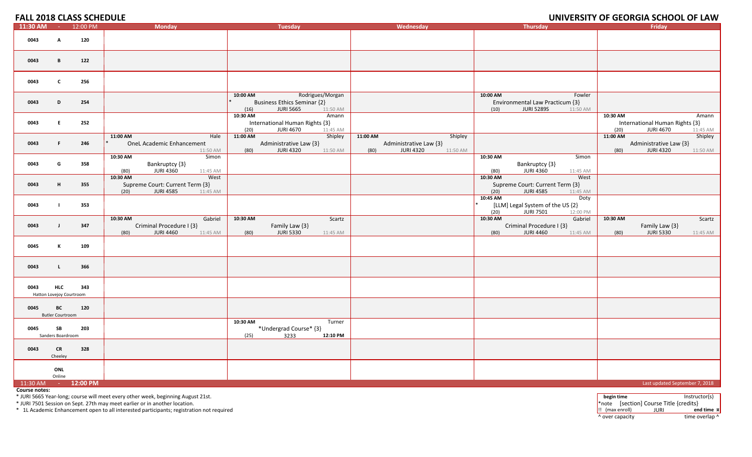|          |                                        | <b>FALL 2018 CLASS SCHEDULE</b> |                                                                                             |                                                                                                            |                                                                                       |                                                                                                | UNIVERSITY OF GEORGIA SCHOOL OF LAW                                                         |
|----------|----------------------------------------|---------------------------------|---------------------------------------------------------------------------------------------|------------------------------------------------------------------------------------------------------------|---------------------------------------------------------------------------------------|------------------------------------------------------------------------------------------------|---------------------------------------------------------------------------------------------|
| 11:30 AM |                                        | $-12:00 \text{ PM}$             | <b>Monday</b>                                                                               | Tuesday                                                                                                    | Wednesday                                                                             | Thursday                                                                                       | Fridav                                                                                      |
| 0043     | A                                      | 120                             |                                                                                             |                                                                                                            |                                                                                       |                                                                                                |                                                                                             |
| 0043     | B                                      | 122                             |                                                                                             |                                                                                                            |                                                                                       |                                                                                                |                                                                                             |
| 0043     | C                                      | 256                             |                                                                                             |                                                                                                            |                                                                                       |                                                                                                |                                                                                             |
| 0043     | D                                      | 254                             |                                                                                             | Rodrigues/Morgan<br>10:00 AM<br><b>Business Ethics Seminar {2}</b><br><b>JURI 5665</b><br>(16)<br>11:50 AM |                                                                                       | 10:00 AM<br>Fowler<br>Environmental Law Practicum {3}<br><b>JURI 5289S</b><br>(10)<br>11:50 AM |                                                                                             |
| 0043     | E.                                     | 252                             |                                                                                             | 10:30 AM<br>Amann<br>International Human Rights {3}<br><b>JURI 4670</b><br>(20)<br>11:45 AM                |                                                                                       |                                                                                                | Amann<br>10:30 AM<br>International Human Rights {3}<br>(20)<br><b>JURI 4670</b><br>11:45 AM |
| 0043     | F                                      | 246                             | 11:00 AM<br>Hale<br><b>OneL Academic Enhancement</b><br>11:50 AM                            | 11:00 AM<br>Shipley<br>Administrative Law {3}<br><b>JURI 4320</b><br>(80)<br>11:50 AM                      | 11:00 AM<br>Shipley<br>Administrative Law {3}<br><b>JURI 4320</b><br>(80)<br>11:50 AM |                                                                                                | 11:00 AM<br>Shipley<br>Administrative Law {3}<br><b>JURI 4320</b><br>(80)<br>11:50 AM       |
| 0043     | G                                      | 358                             | 10:30 AM<br>Simon<br>Bankruptcy {3}<br><b>JURI 4360</b><br>11:45 AM<br>(80)                 |                                                                                                            |                                                                                       | 10:30 AM<br>Simon<br>Bankruptcy {3}<br><b>JURI 4360</b><br>(80)<br>11:45 AM                    |                                                                                             |
| 0043     | H                                      | 355                             | 10:30 AM<br>West<br>Supreme Court: Current Term {3}<br><b>JURI 4585</b><br>(20)<br>11:45 AM |                                                                                                            |                                                                                       | 10:30 AM<br>West<br>Supreme Court: Current Term {3}<br><b>JURI 4585</b><br>(20)<br>11:45 AM    |                                                                                             |
| 0043     |                                        | 353                             |                                                                                             |                                                                                                            |                                                                                       | 10:45 AM<br>Doty<br>[LLM] Legal System of the US {2}<br>(20)<br><b>JURI 7501</b><br>12:00 PM   |                                                                                             |
| 0043     | $\mathbf{J}$                           | 347                             | 10:30 AM<br>Gabriel<br>Criminal Procedure I {3}<br><b>JURI 4460</b><br>(80)<br>11:45 AM     | 10:30 AM<br>Scartz<br>Family Law {3}<br><b>JURI 5330</b><br>(80)<br>11:45 AM                               |                                                                                       | 10:30 AM<br>Gabriel<br>Criminal Procedure I {3}<br><b>JURI 4460</b><br>(80)<br>11:45 AM        | 10:30 AM<br>Scartz<br>Family Law {3}<br><b>JURI 5330</b><br>(80)<br>11:45 AM                |
| 0045     | к                                      | 109                             |                                                                                             |                                                                                                            |                                                                                       |                                                                                                |                                                                                             |
| 0043     | $\mathbf{L}$                           | 366                             |                                                                                             |                                                                                                            |                                                                                       |                                                                                                |                                                                                             |
| 0043     | <b>HLC</b><br>Hatton Lovejoy Courtroom | 343                             |                                                                                             |                                                                                                            |                                                                                       |                                                                                                |                                                                                             |
| 0045     | BC<br><b>Butler Courtroom</b>          | 120                             |                                                                                             |                                                                                                            |                                                                                       |                                                                                                |                                                                                             |
| 0045     | SB<br>Sanders Boardroom                | 203                             |                                                                                             | 10:30 AM<br>Turner<br>*Undergrad Course* {3}<br>3233<br>(25)<br>12:10 PM                                   |                                                                                       |                                                                                                |                                                                                             |
| 0043     | <b>CR</b><br>Cheeley                   | 328                             |                                                                                             |                                                                                                            |                                                                                       |                                                                                                |                                                                                             |
|          | ONL<br>Online                          |                                 |                                                                                             |                                                                                                            |                                                                                       |                                                                                                |                                                                                             |
|          |                                        | 11:30 AM - 12:00 PM             |                                                                                             |                                                                                                            |                                                                                       |                                                                                                | Last updated September 7, 2018                                                              |

**Course notes:**

\* JURI 5665 Year‐long; course will meet every other week, beginning August 21st. **begin time** Instructor(s)

\* JURI 7501 Session on Sept. 27th may meet earlier or in another location.  $\blacksquare$  \* note [section] Course Title {credits}  $\blacksquare$  \* note [section] Course Title {credits}

\* 1L Academic Enhancement open to all interested participants; registration not required !! (max enroll) JURI **end time ¤**

^ over capacity dime overlap ^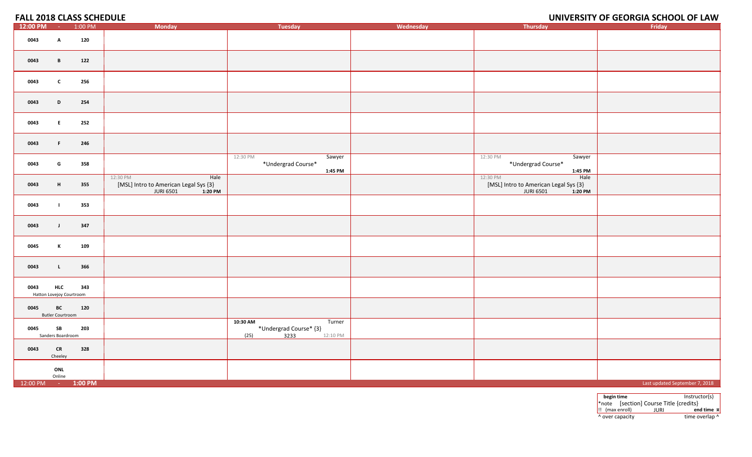# **OF GEORGIA SCHOOL OF LAW**

| 12:00 PM           | $\sim 100$                             | 1:00 PM | <b>Monday</b>                                                                  | <b>Tuesday</b>                                                           | Wednesday | Thursday                                                                                   | Friday                         |
|--------------------|----------------------------------------|---------|--------------------------------------------------------------------------------|--------------------------------------------------------------------------|-----------|--------------------------------------------------------------------------------------------|--------------------------------|
| 0043               | $\mathbf{A}$                           | 120     |                                                                                |                                                                          |           |                                                                                            |                                |
| 0043               | $\mathbf{B}$                           | 122     |                                                                                |                                                                          |           |                                                                                            |                                |
| 0043               | $\mathbf{c}$                           | 256     |                                                                                |                                                                          |           |                                                                                            |                                |
| 0043               | D                                      | 254     |                                                                                |                                                                          |           |                                                                                            |                                |
| 0043               | E                                      | 252     |                                                                                |                                                                          |           |                                                                                            |                                |
| 0043               | $\mathbf{F}$ .                         | 246     |                                                                                |                                                                          |           |                                                                                            |                                |
| 0043               | G                                      | 358     |                                                                                | 12:30 PM<br>Sawyer<br>*Undergrad Course*<br>1:45 PM                      |           | 12:30 PM<br>Sawyer<br>*Undergrad Course*<br>1:45 PM                                        |                                |
| 0043               | H                                      | 355     | Hale<br>12:30 PM<br>[MSL] Intro to American Legal Sys {3}<br>JURI 6501 1:20 PM |                                                                          |           | 12:30 PM<br>Hale<br>[MSL] Intro to American Legal Sys {3}<br>$1:20$ PM<br><b>JURI 6501</b> |                                |
| 0043               | $\mathbf{I}$                           | 353     |                                                                                |                                                                          |           |                                                                                            |                                |
| 0043               | $\mathbf{J}$                           | 347     |                                                                                |                                                                          |           |                                                                                            |                                |
| 0045               | K                                      | 109     |                                                                                |                                                                          |           |                                                                                            |                                |
| 0043               | $\mathbf{L}$                           | 366     |                                                                                |                                                                          |           |                                                                                            |                                |
| 0043               | <b>HLC</b><br>Hatton Lovejoy Courtroom | 343     |                                                                                |                                                                          |           |                                                                                            |                                |
| 0045               | BC<br><b>Butler Courtroom</b>          | 120     |                                                                                |                                                                          |           |                                                                                            |                                |
| 0045               | SB<br>Sanders Boardroom                | 203     |                                                                                | 10:30 AM<br>Turner<br>*Undergrad Course* {3}<br>3233<br>(25)<br>12:10 PM |           |                                                                                            |                                |
| 0043               | <b>CR</b><br>Cheeley                   | 328     |                                                                                |                                                                          |           |                                                                                            |                                |
|                    | ONL<br>Online                          |         |                                                                                |                                                                          |           |                                                                                            |                                |
| 12:00 PM - 1:00 PM |                                        |         |                                                                                |                                                                          |           |                                                                                            | Last updated September 7, 2018 |

**begin time** Instructor(s) \*note [section] Course Title {credits} !! (max enroll) JURI **end time ¤** ^ over capacity dime overlap ^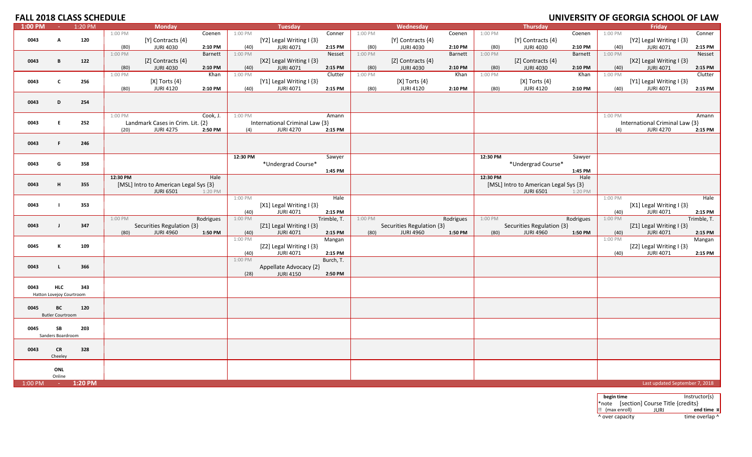#### **FALL 2018 CLASS SCHEDULE UNIVERSITY**

| $1:00$ PM | $\sim 10^{-1}$           | 1:20 PM |          | <b>Monday</b>                                 |           |                 | <b>Tuesday</b>                               |                   |         | Wednesday                                     |           |          | <b>Thursday</b>                               |           |                 | Friday                                       |             |
|-----------|--------------------------|---------|----------|-----------------------------------------------|-----------|-----------------|----------------------------------------------|-------------------|---------|-----------------------------------------------|-----------|----------|-----------------------------------------------|-----------|-----------------|----------------------------------------------|-------------|
|           |                          |         | 1:00 PM  |                                               | Coenen    | 1:00 PM         |                                              | Conner            | 1:00 PM |                                               | Coenen    | 1:00 PM  |                                               | Coenen    | 1:00 PM         |                                              | Conner      |
| 0043      | A                        | 120     |          | [Y] Contracts {4}                             |           |                 | [Y2] Legal Writing I {3}                     |                   |         | [Y] Contracts {4}                             |           |          | [Y] Contracts {4}                             |           |                 | [Y2] Legal Writing I {3}                     |             |
|           |                          |         | (80)     | <b>JURI 4030</b>                              | 2:10 PM   | (40)            | <b>JURI 4071</b>                             | 2:15 PM           | (80)    | <b>JURI 4030</b>                              | 2:10 PM   | (80)     | <b>JURI 4030</b>                              | 2:10 PM   | (40)            | <b>JURI 4071</b>                             | 2:15 PM     |
|           |                          |         | 1:00 PM  |                                               | Barnett   | 1:00 PM         |                                              | Nesset            | 1:00 PM |                                               | Barnett   | 1:00 PM  |                                               | Barnett   | 1:00 PM         |                                              | Nesset      |
| 0043      | B                        | 122     |          | [Z] Contracts {4}                             |           |                 | [X2] Legal Writing I {3}                     |                   |         | [Z] Contracts {4}                             |           |          | [Z] Contracts {4}                             |           |                 | [X2] Legal Writing I {3}                     |             |
|           |                          |         | (80)     | <b>JURI 4030</b>                              | 2:10 PM   | (40)            | <b>JURI 4071</b>                             | 2:15 PM           | (80)    | <b>JURI 4030</b>                              | 2:10 PM   | (80)     | <b>JURI 4030</b>                              | 2:10 PM   | (40)            | <b>JURI 4071</b>                             | 2:15 PM     |
|           |                          |         | 1:00 PM  |                                               | Khan      | 1:00 PM         |                                              | Clutter           | 1:00 PM |                                               | Khan      | 1:00 PM  |                                               | Khan      | 1:00 PM         |                                              | Clutter     |
| 0043      | $\mathbf c$              | 256     |          | $[X]$ Torts $\{4\}$                           |           |                 | [Y1] Legal Writing $\{3\}$                   |                   |         | [X] Torts $\{4\}$                             |           |          | $[X]$ Torts $\{4\}$                           |           |                 | [Y1] Legal Writing I {3}                     |             |
|           |                          |         | (80)     | <b>JURI 4120</b>                              | 2:10 PM   | (40)            | <b>JURI 4071</b>                             | 2:15 PM           | (80)    | <b>JURI 4120</b>                              | 2:10 PM   | (80)     | <b>JURI 4120</b>                              | 2:10 PM   | (40)            | <b>JURI 4071</b>                             | 2:15 PM     |
|           |                          |         |          |                                               |           |                 |                                              |                   |         |                                               |           |          |                                               |           |                 |                                              |             |
| 0043      | D                        | 254     |          |                                               |           |                 |                                              |                   |         |                                               |           |          |                                               |           |                 |                                              |             |
|           |                          |         | 1:00 PM  |                                               | Cook, J.  | 1:00 PM         |                                              | Amann             |         |                                               |           |          |                                               |           | 1:00 PM         |                                              | Amann       |
| 0043      | E                        | 252     |          | Landmark Cases in Crim. Lit. {2}              |           |                 | International Criminal Law {3}               |                   |         |                                               |           |          |                                               |           |                 | International Criminal Law {3}               |             |
|           |                          |         | (20)     | <b>JURI 4275</b>                              | 2:50 PM   | (4)             | <b>JURI 4270</b>                             | 2:15 PM           |         |                                               |           |          |                                               |           | (4)             | <b>JURI 4270</b>                             | 2:15 PM     |
|           |                          |         |          |                                               |           |                 |                                              |                   |         |                                               |           |          |                                               |           |                 |                                              |             |
| 0043      | F                        | 246     |          |                                               |           |                 |                                              |                   |         |                                               |           |          |                                               |           |                 |                                              |             |
|           |                          |         |          |                                               |           |                 |                                              |                   |         |                                               |           |          |                                               |           |                 |                                              |             |
|           |                          |         |          |                                               |           | 12:30 PM        |                                              | Sawyer            |         |                                               |           | 12:30 PM |                                               | Sawyer    |                 |                                              |             |
| 0043      | G                        | 358     |          |                                               |           |                 | *Undergrad Course*                           |                   |         |                                               |           |          | *Undergrad Course*                            |           |                 |                                              |             |
|           |                          |         |          |                                               |           |                 |                                              | 1:45 PM           |         |                                               |           |          |                                               | 1:45 PM   |                 |                                              |             |
|           |                          |         | 12:30 PM |                                               | Hale      |                 |                                              |                   |         |                                               |           | 12:30 PM |                                               | Hale      |                 |                                              |             |
| 0043      | н                        | 355     |          | [MSL] Intro to American Legal Sys {3}         |           |                 |                                              |                   |         |                                               |           |          | [MSL] Intro to American Legal Sys {3}         |           |                 |                                              |             |
|           |                          |         |          | <b>JURI 6501</b>                              | 1:20 PM   |                 |                                              |                   |         |                                               |           |          | <b>JURI 6501</b>                              | 1:20 PM   |                 |                                              |             |
|           |                          |         |          |                                               |           | 1:00 PM         |                                              | Hale              |         |                                               |           |          |                                               |           | 1:00 PM         |                                              | Hale        |
| 0043      |                          | 353     |          |                                               |           |                 | [X1] Legal Writing I {3}                     |                   |         |                                               |           |          |                                               |           |                 | [X1] Legal Writing I {3}                     |             |
|           |                          |         |          |                                               |           | (40)            | <b>JURI 4071</b>                             | 2:15 PM           |         |                                               |           |          |                                               |           | (40)            | <b>JURI 4071</b>                             | 2:15 PM     |
|           |                          |         | 1:00 PM  |                                               | Rodrigues | 1:00 PM         |                                              | Trimble, T.       | 1:00 PM |                                               | Rodrigues | 1:00 PM  |                                               | Rodrigues | 1:00 PM         |                                              | Trimble, T. |
| 0043      | $\mathbf{I}$             | 347     | (80)     | Securities Regulation {3}<br><b>JURI 4960</b> | 1:50 PM   |                 | [Z1] Legal Writing I {3}<br><b>JURI 4071</b> |                   |         | Securities Regulation {3}<br><b>JURI 4960</b> | 1:50 PM   |          | Securities Regulation {3}<br><b>JURI 4960</b> | 1:50 PM   |                 | [Z1] Legal Writing I {3}<br><b>JURI 4071</b> | 2:15 PM     |
|           |                          |         |          |                                               |           | (40)<br>1:00 PM |                                              | 2:15 PM<br>Mangan | (80)    |                                               |           | (80)     |                                               |           | (40)<br>1:00 PM |                                              | Mangan      |
| 0045      | К                        | 109     |          |                                               |           |                 | [Z2] Legal Writing I {3}                     |                   |         |                                               |           |          |                                               |           |                 | [Z2] Legal Writing I {3}                     |             |
|           |                          |         |          |                                               |           | (40)            | <b>JURI 4071</b>                             | 2:15 PM           |         |                                               |           |          |                                               |           | (40)            | <b>JURI 4071</b>                             | 2:15 PM     |
|           |                          |         |          |                                               |           | 1:00 PM         |                                              | Burch, T.         |         |                                               |           |          |                                               |           |                 |                                              |             |
| 0043      | -1.                      | 366     |          |                                               |           |                 | Appellate Advocacy {2}                       |                   |         |                                               |           |          |                                               |           |                 |                                              |             |
|           |                          |         |          |                                               |           | (28)            | <b>JURI 4150</b>                             | 2:50 PM           |         |                                               |           |          |                                               |           |                 |                                              |             |
|           |                          |         |          |                                               |           |                 |                                              |                   |         |                                               |           |          |                                               |           |                 |                                              |             |
| 0043      | <b>HLC</b>               | 343     |          |                                               |           |                 |                                              |                   |         |                                               |           |          |                                               |           |                 |                                              |             |
|           | Hatton Lovejoy Courtroom |         |          |                                               |           |                 |                                              |                   |         |                                               |           |          |                                               |           |                 |                                              |             |
|           |                          |         |          |                                               |           |                 |                                              |                   |         |                                               |           |          |                                               |           |                 |                                              |             |
| 0045      | ВC                       | 120     |          |                                               |           |                 |                                              |                   |         |                                               |           |          |                                               |           |                 |                                              |             |
|           | <b>Butler Courtroom</b>  |         |          |                                               |           |                 |                                              |                   |         |                                               |           |          |                                               |           |                 |                                              |             |
| 0045      | SB                       | 203     |          |                                               |           |                 |                                              |                   |         |                                               |           |          |                                               |           |                 |                                              |             |
|           | Sanders Boardroom        |         |          |                                               |           |                 |                                              |                   |         |                                               |           |          |                                               |           |                 |                                              |             |
|           |                          |         |          |                                               |           |                 |                                              |                   |         |                                               |           |          |                                               |           |                 |                                              |             |
| 0043      | <b>CR</b>                | 328     |          |                                               |           |                 |                                              |                   |         |                                               |           |          |                                               |           |                 |                                              |             |
|           | Cheeley                  |         |          |                                               |           |                 |                                              |                   |         |                                               |           |          |                                               |           |                 |                                              |             |
|           |                          |         |          |                                               |           |                 |                                              |                   |         |                                               |           |          |                                               |           |                 |                                              |             |
|           | ONL                      |         |          |                                               |           |                 |                                              |                   |         |                                               |           |          |                                               |           |                 |                                              |             |
|           | Online                   |         |          |                                               |           |                 |                                              |                   |         |                                               |           |          |                                               |           |                 |                                              |             |
| 1:00 PM   | <b>Part</b>              | 1:20 PM |          |                                               |           |                 |                                              |                   |         |                                               |           |          |                                               |           |                 | Last updated September 7, 2018               |             |

**begin time** Instructor(s) \*note [section] Course Title {credits} !! (max enroll) JURI **end time ¤** ^ over capacity dime overlap ^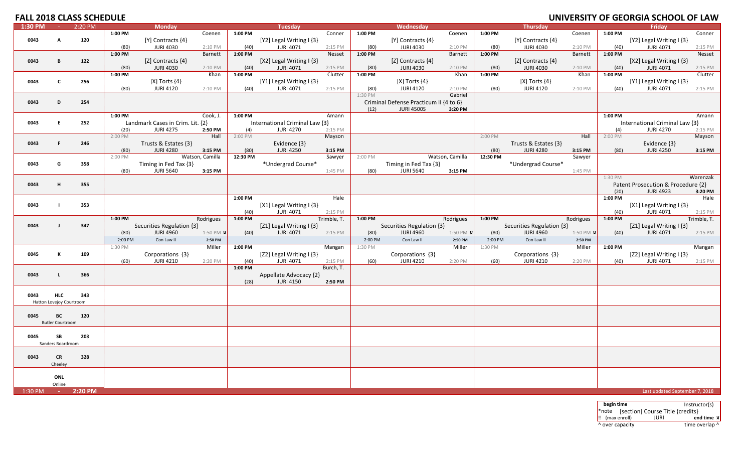|         |                          | <b>FALL 2018 CLASS SCHEDULE</b> |         |                                         |                  |                 |                                              |             |                 |                                         |                  |          |                                       |                  |                 | UNIVERSITY OF GEORGIA SCHOOL OF LAW            |                    |
|---------|--------------------------|---------------------------------|---------|-----------------------------------------|------------------|-----------------|----------------------------------------------|-------------|-----------------|-----------------------------------------|------------------|----------|---------------------------------------|------------------|-----------------|------------------------------------------------|--------------------|
| 1:30 PM | $\sim$ 1                 | 2:20 PM                         |         | <b>Monday</b>                           |                  |                 | <b>Tuesday</b>                               |             |                 | Wednesday                               |                  |          | <b>Thursday</b>                       |                  |                 | Friday                                         |                    |
|         |                          |                                 | 1:00 PM |                                         | Coenen           | 1:00 PM         |                                              | Conner      | 1:00 PM         |                                         | Coenen           | 1:00 PM  |                                       | Coenen           | 1:00 PM         |                                                | Conner             |
| 0043    | A                        | 120                             |         | [Y] Contracts {4}                       |                  |                 | [Y2] Legal Writing $\{3\}$                   |             |                 | [Y] Contracts {4}                       |                  |          | [Y] Contracts {4}                     |                  |                 | [Y2] Legal Writing I {3}                       |                    |
|         |                          |                                 | (80)    | <b>JURI 4030</b>                        | 2:10 PM          | (40)            | <b>JURI 4071</b>                             | 2:15 PM     | (80)            | <b>JURI 4030</b>                        | 2:10 PM          | (80)     | <b>JURI 4030</b>                      | 2:10 PM          | (40)            | <b>JURI 4071</b>                               | 2:15 PM            |
|         |                          |                                 | 1:00 PM |                                         | Barnett          | 1:00 PM         |                                              | Nesset      | $1:00$ PM       |                                         | Barnett          | 1:00 PM  |                                       | Barnett          | $1:00$ PM       |                                                | Nesset             |
| 0043    | B                        | 122                             |         | [Z] Contracts {4}                       |                  |                 | [X2] Legal Writing $\{3\}$                   |             |                 | [Z] Contracts $\{4\}$                   |                  |          | [Z] Contracts $\{4\}$                 |                  |                 | [X2] Legal Writing $\{3\}$                     |                    |
|         |                          |                                 | (80)    | <b>JURI 4030</b>                        | 2:10 PM<br>Khan  | (40)<br>1:00 PM | <b>JURI 4071</b>                             | 2:15 PM     | (80)<br>1:00 PM | <b>JURI 4030</b>                        | 2:10 PM<br>Khan  | (80)     | <b>JURI 4030</b>                      | 2:10 PM          | (40)<br>1:00 PM | <b>JURI 4071</b>                               | 2:15 PM<br>Clutter |
|         | $\mathbf c$              |                                 | 1:00 PM |                                         |                  |                 |                                              | Clutter     |                 |                                         |                  | 1:00 PM  |                                       | Khan             |                 |                                                |                    |
| 0043    |                          | 256                             | (80)    | $[X]$ Torts $\{4\}$<br><b>JURI 4120</b> | 2:10 PM          | (40)            | [Y1] Legal Writing I {3}<br><b>JURI 4071</b> | 2:15 PM     | (80)            | $[X]$ Torts $\{4\}$<br><b>JURI 4120</b> | 2:10 PM          | (80)     | [X] Torts $\{4\}$<br><b>JURI 4120</b> | 2:10 PM          | (40)            | [Y1] Legal Writing $\{3\}$<br><b>JURI 4071</b> | 2:15 PM            |
|         |                          |                                 |         |                                         |                  |                 |                                              |             | 1:30 PM         |                                         | Gabriel          |          |                                       |                  |                 |                                                |                    |
| 0043    | D                        | 254                             |         |                                         |                  |                 |                                              |             |                 | Criminal Defense Practicum II {4 to 6}  |                  |          |                                       |                  |                 |                                                |                    |
|         |                          |                                 |         |                                         |                  |                 |                                              |             | (12)            | <b>JURI 4500S</b>                       | 3:20 PM          |          |                                       |                  |                 |                                                |                    |
|         |                          |                                 | 1:00 PM |                                         | Cook, J.         | 1:00 PM         |                                              | Amann       |                 |                                         |                  |          |                                       |                  | 1:00 PM         |                                                | Amann              |
| 0043    | E.                       | 252                             |         | Landmark Cases in Crim. Lit. {2}        |                  |                 | International Criminal Law {3}               |             |                 |                                         |                  |          |                                       |                  |                 | International Criminal Law {3}                 |                    |
|         |                          |                                 | (20)    | <b>JURI 4275</b>                        | 2:50 PM          | (4)             | <b>JURI 4270</b>                             | 2:15 PM     |                 |                                         |                  |          |                                       |                  | (4)             | <b>JURI 4270</b>                               | 2:15 PM            |
|         |                          |                                 | 2:00 PM |                                         | Hall             | 2:00 PM         |                                              | Mayson      |                 |                                         |                  | 2:00 PM  |                                       | Hall             | 2:00 PM         |                                                | Mayson             |
| 0043    | F.                       | 246                             |         | Trusts & Estates {3}                    |                  |                 | Evidence $\{3\}$                             |             |                 |                                         |                  |          | Trusts & Estates {3}                  |                  |                 | Evidence $\{3\}$                               |                    |
|         |                          |                                 | (80)    | <b>JURI 4280</b>                        | 3:15 PM          | (80)            | <b>JURI 4250</b>                             | 3:15 PM     |                 |                                         |                  | (80)     | <b>JURI 4280</b>                      | 3:15 PM          | (80)            | <b>JURI 4250</b>                               | 3:15 PM            |
|         |                          |                                 | 2:00 PM |                                         | Watson, Camilla  | 12:30 PM        |                                              | Sawyer      | 2:00 PM         |                                         | Watson, Camilla  | 12:30 PM |                                       | Sawyer           |                 |                                                |                    |
| 0043    | G                        | 358                             |         | Timing in Fed Tax {3}                   |                  |                 | *Undergrad Course*                           |             |                 | Timing in Fed Tax {3}                   |                  |          | *Undergrad Course*                    |                  |                 |                                                |                    |
|         |                          |                                 | (80)    | <b>JURI 5640</b>                        | 3:15 PM          |                 |                                              | 1:45 PM     | (80)            | <b>JURI 5640</b>                        | 3:15 PM          |          |                                       | 1:45 PM          | 1:30 PM         |                                                | Warenzak           |
| 0043    | н                        | 355                             |         |                                         |                  |                 |                                              |             |                 |                                         |                  |          |                                       |                  |                 | Patent Prosecution & Procedure {2}             |                    |
|         |                          |                                 |         |                                         |                  |                 |                                              |             |                 |                                         |                  |          |                                       |                  | (20)            | <b>JURI 4923</b>                               | 3:20 PM            |
|         |                          |                                 |         |                                         |                  | 1:00 PM         |                                              | Hale        |                 |                                         |                  |          |                                       |                  | 1:00 PM         |                                                | Hale               |
| 0043    | $\blacksquare$           | 353                             |         |                                         |                  |                 | [X1] Legal Writing $\{3\}$                   |             |                 |                                         |                  |          |                                       |                  |                 | [X1] Legal Writing $\{3\}$                     |                    |
|         |                          |                                 |         |                                         |                  | (40)            | <b>JURI 4071</b>                             | 2:15 PM     |                 |                                         |                  |          |                                       |                  | (40)            | <b>JURI 4071</b>                               | 2:15 PM            |
|         |                          |                                 | 1:00 PM |                                         | Rodrigues        | 1:00 PM         |                                              | Trimble, T. | 1:00 PM         |                                         | Rodrigues        | 1:00 PM  |                                       | Rodrigues        | 1:00 PM         |                                                | Trimble, T.        |
| 0043    | $\mathbf{I}$             | 347                             |         | Securities Regulation {3}               |                  |                 | [Z1] Legal Writing I {3}                     |             |                 | Securities Regulation {3}               |                  |          | Securities Regulation {3}             |                  |                 | [Z1] Legal Writing I {3}                       |                    |
|         |                          |                                 | (80)    | <b>JURI 4960</b>                        | 1:50 PM <b>x</b> | (40)            | <b>JURI 4071</b>                             | 2:15 PM     | (80)            | <b>JURI 4960</b>                        | 1:50 PM <b>x</b> | (80)     | <b>JURI 4960</b>                      | 1:50 PM <b>x</b> | (40)            | <b>JURI 4071</b>                               | 2:15 PM            |
|         |                          |                                 | 2:00 PM | Con Law II                              | 2:50 PM          |                 |                                              |             | 2:00 PM         | Con Law II                              | 2:50 PM          | 2:00 PM  | Con Law II                            | 2:50 PM          |                 |                                                |                    |
|         |                          |                                 | 1:30 PM |                                         | Miller           | 1:00 PM         |                                              | Mangan      | 1:30 PM         |                                         | Miller           | 1:30 PM  |                                       | Miller           | 1:00 PM         |                                                | Mangan             |
| 0045    | К                        | 109                             |         | Corporations {3}                        |                  |                 | [Z2] Legal Writing I {3}                     |             |                 | Corporations {3}                        |                  |          | Corporations {3}                      |                  |                 | [Z2] Legal Writing I {3}                       |                    |
|         |                          |                                 | (60)    | <b>JURI 4210</b>                        | 2:20 PM          | (40)            | <b>JURI 4071</b>                             | 2:15 PM     | (60)            | <b>JURI 4210</b>                        | 2:20 PM          | (60)     | <b>JURI 4210</b>                      | 2:20 PM          | (40)            | <b>JURI 4071</b>                               | 2:15 PM            |
|         | <b>L</b>                 | 366                             |         |                                         |                  | 1:00 PM         |                                              | Burch, T.   |                 |                                         |                  |          |                                       |                  |                 |                                                |                    |
| 0043    |                          |                                 |         |                                         |                  | (28)            | Appellate Advocacy {2}<br><b>JURI 4150</b>   | 2:50 PM     |                 |                                         |                  |          |                                       |                  |                 |                                                |                    |
|         |                          |                                 |         |                                         |                  |                 |                                              |             |                 |                                         |                  |          |                                       |                  |                 |                                                |                    |
| 0043    | <b>HLC</b>               | 343                             |         |                                         |                  |                 |                                              |             |                 |                                         |                  |          |                                       |                  |                 |                                                |                    |
|         | Hatton Lovejoy Courtroom |                                 |         |                                         |                  |                 |                                              |             |                 |                                         |                  |          |                                       |                  |                 |                                                |                    |
|         |                          |                                 |         |                                         |                  |                 |                                              |             |                 |                                         |                  |          |                                       |                  |                 |                                                |                    |
| 0045    | BC                       | 120                             |         |                                         |                  |                 |                                              |             |                 |                                         |                  |          |                                       |                  |                 |                                                |                    |
|         | <b>Butler Courtroom</b>  |                                 |         |                                         |                  |                 |                                              |             |                 |                                         |                  |          |                                       |                  |                 |                                                |                    |
|         |                          |                                 |         |                                         |                  |                 |                                              |             |                 |                                         |                  |          |                                       |                  |                 |                                                |                    |
| 0045    | SB                       | 203                             |         |                                         |                  |                 |                                              |             |                 |                                         |                  |          |                                       |                  |                 |                                                |                    |
|         | Sanders Boardroom        |                                 |         |                                         |                  |                 |                                              |             |                 |                                         |                  |          |                                       |                  |                 |                                                |                    |
| 0043    | <b>CR</b>                | 328                             |         |                                         |                  |                 |                                              |             |                 |                                         |                  |          |                                       |                  |                 |                                                |                    |
|         | Cheeley                  |                                 |         |                                         |                  |                 |                                              |             |                 |                                         |                  |          |                                       |                  |                 |                                                |                    |
|         |                          |                                 |         |                                         |                  |                 |                                              |             |                 |                                         |                  |          |                                       |                  |                 |                                                |                    |
|         | ONL                      |                                 |         |                                         |                  |                 |                                              |             |                 |                                         |                  |          |                                       |                  |                 |                                                |                    |
|         | Online                   |                                 |         |                                         |                  |                 |                                              |             |                 |                                         |                  |          |                                       |                  |                 |                                                |                    |
| 1:30 PM | <b>College</b>           | 2:20 PM                         |         |                                         |                  |                 |                                              |             |                 |                                         |                  |          |                                       |                  |                 | Last updated September 7, 2018                 |                    |

**begin time** Instructor(s) \*note [section] Course Title {credits} !! (max enroll) JURI **end time ¤** ^ over capacity  $\bullet$  time overlap ^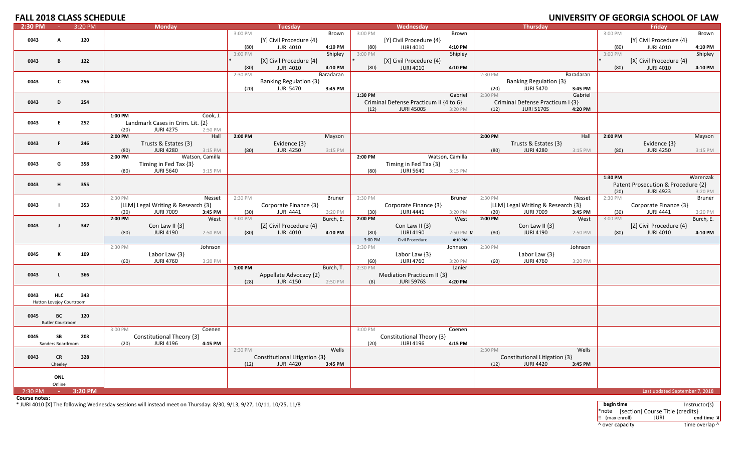# **FALL 2018 CLASS SCHEDULE UNIVERSITY**

| $2:30$ PM |                          | 3:20 PM |                   | <b>Monday</b>                      |                 |                 | <b>Tuesday</b>                |                      |                   | Wednesday                              |                  |                 | <b>Thursday</b>                    |                    |                 | Friday                             |                      |
|-----------|--------------------------|---------|-------------------|------------------------------------|-----------------|-----------------|-------------------------------|----------------------|-------------------|----------------------------------------|------------------|-----------------|------------------------------------|--------------------|-----------------|------------------------------------|----------------------|
|           |                          |         |                   |                                    |                 | 3:00 PM         |                               | Brown                | 3:00 PM           |                                        | Brown            |                 |                                    |                    | 3:00 PM         |                                    | Brown                |
| 0043      | A                        | 120     |                   |                                    |                 |                 | [Y] Civil Procedure {4}       |                      |                   | [Y] Civil Procedure {4}                |                  |                 |                                    |                    |                 | [Y] Civil Procedure {4}            |                      |
|           |                          |         |                   |                                    |                 | (80)            | <b>JURI 4010</b>              | 4:10 PM              | (80)              | <b>JURI 4010</b>                       | 4:10 PM          |                 |                                    |                    | (80)            | <b>JURI 4010</b>                   | 4:10 PM              |
|           |                          |         |                   |                                    |                 | 3:00 PM         |                               | Shipley              | 3:00 PM           |                                        | Shipley          |                 |                                    |                    | 3:00 PM         |                                    | Shipley              |
| 0043      | B                        | 122     |                   |                                    |                 |                 | [X] Civil Procedure {4}       |                      |                   | [X] Civil Procedure {4}                |                  |                 |                                    |                    |                 | [X] Civil Procedure {4}            |                      |
|           |                          |         |                   |                                    |                 | (80)            | <b>JURI 4010</b>              | 4:10 PM              | (80)              | <b>JURI 4010</b>                       | 4:10 PM          |                 |                                    |                    | (80)            | <b>JURI 4010</b>                   | 4:10 PM              |
|           |                          |         |                   |                                    |                 | 2:30 PM         |                               | Baradaran            |                   |                                        |                  | 2:30 PM         |                                    | Baradaran          |                 |                                    |                      |
| 0043      | C                        | 256     |                   |                                    |                 |                 | <b>Banking Regulation {3}</b> |                      |                   |                                        |                  |                 | <b>Banking Regulation {3}</b>      |                    |                 |                                    |                      |
|           |                          |         |                   |                                    |                 | (20)            | <b>JURI 5470</b>              | 3:45 PM              | 1:30 PM           |                                        | Gabriel          | (20)<br>2:30 PM | <b>JURI 5470</b>                   | 3:45 PM<br>Gabriel |                 |                                    |                      |
| 0043      | D.                       | 254     |                   |                                    |                 |                 |                               |                      |                   | Criminal Defense Practicum II {4 to 6} |                  |                 | Criminal Defense Practicum I {3}   |                    |                 |                                    |                      |
|           |                          |         |                   |                                    |                 |                 |                               |                      | (12)              | <b>JURI 4500S</b>                      | 3:20 PM          | (12)            | <b>JURI 5170S</b>                  | 4:20 PM            |                 |                                    |                      |
|           |                          |         | 1:00 PM           |                                    | Cook, J.        |                 |                               |                      |                   |                                        |                  |                 |                                    |                    |                 |                                    |                      |
| 0043      | E.                       | 252     |                   | Landmark Cases in Crim. Lit. {2}   |                 |                 |                               |                      |                   |                                        |                  |                 |                                    |                    |                 |                                    |                      |
|           |                          |         | (20)              | <b>JURI 4275</b>                   | 2:50 PM         |                 |                               |                      |                   |                                        |                  |                 |                                    |                    |                 |                                    |                      |
|           |                          |         | 2:00 PM           |                                    | Hall            | 2:00 PM         |                               | Mayson               |                   |                                        |                  | 2:00 PM         |                                    | Hall               | 2:00 PM         |                                    | Mayson               |
| 0043      | F.                       | 246     |                   | Trusts & Estates {3}               |                 |                 | Evidence {3}                  |                      |                   |                                        |                  |                 | Trusts & Estates {3}               |                    |                 | Evidence {3}                       |                      |
|           |                          |         | (80)              | <b>JURI 4280</b>                   | 3:15 PM         | (80)            | <b>JURI 4250</b>              | 3:15 PM              |                   |                                        |                  | (80)            | <b>JURI 4280</b>                   | 3:15 PM            | (80)            | <b>JURI 4250</b>                   | 3:15 PM              |
|           |                          |         | 2:00 PM           |                                    | Watson, Camilla |                 |                               |                      | 2:00 PM           |                                        | Watson, Camilla  |                 |                                    |                    |                 |                                    |                      |
| 0043      | G                        | 358     |                   | Timing in Fed Tax {3}              |                 |                 |                               |                      |                   | Timing in Fed Tax {3}                  |                  |                 |                                    |                    |                 |                                    |                      |
|           |                          |         | (80)              | <b>JURI 5640</b>                   | 3:15 PM         |                 |                               |                      | (80)              | <b>JURI 5640</b>                       | 3:15 PM          |                 |                                    |                    |                 |                                    |                      |
|           |                          |         |                   |                                    |                 |                 |                               |                      |                   |                                        |                  |                 |                                    |                    | 1:30 PM         |                                    | Warenzak             |
| 0043      | н.                       | 355     |                   |                                    |                 |                 |                               |                      |                   |                                        |                  |                 |                                    |                    |                 | Patent Prosecution & Procedure {2} |                      |
|           |                          |         |                   |                                    |                 |                 |                               |                      |                   |                                        |                  |                 |                                    |                    | (20)            | <b>JURI 4923</b>                   | 3:20 PM              |
|           |                          |         | 2:30 PM           |                                    | Nesset          | 2:30 PM         |                               | <b>Bruner</b>        | 2:30 PM           |                                        | <b>Bruner</b>    | 2:30 PM         |                                    | Nesset             | 2:30 PM         |                                    | Bruner               |
| 0043      | Т.                       | 353     |                   | [LLM] Legal Writing & Research {3} |                 |                 | Corporate Finance {3}         |                      |                   | Corporate Finance {3}                  |                  |                 | [LLM] Legal Writing & Research {3} |                    |                 | Corporate Finance {3}              |                      |
|           |                          |         | (20)<br>$2:00$ PM | <b>JURI 7009</b>                   | 3:45 PM<br>West | (30)<br>3:00 PM | <b>JURI 4441</b>              | 3:20 PM<br>Burch, E. | (30)<br>$2:00$ PM | <b>JURI 4441</b>                       | 3:20 PM<br>West  | (20)<br>2:00 PM | <b>JURI 7009</b>                   | 3:45 PM<br>West    | (30)<br>3:00 PM | <b>JURI 4441</b>                   | 3:20 PM<br>Burch, E. |
| 0043      | $\mathbf{I}$             | 347     |                   | Con Law II $\{3\}$                 |                 |                 | [Z] Civil Procedure {4}       |                      |                   | Con Law II $\{3\}$                     |                  |                 | Con Law II $\{3\}$                 |                    |                 | [Z] Civil Procedure {4}            |                      |
|           |                          |         | (80)              | <b>JURI 4190</b>                   | 2:50 PM         | (80)            | <b>JURI 4010</b>              | 4:10 PM              | (80)              | <b>JURI 4190</b>                       | 2:50 PM <b>x</b> | (80)            | <b>JURI 4190</b>                   | 2:50 PM            | (80)            | <b>JURI 4010</b>                   | 4:10 PM              |
|           |                          |         |                   |                                    |                 |                 |                               |                      | 3:00 PM           | Civil Procedure                        | 4:10 PM          |                 |                                    |                    |                 |                                    |                      |
|           |                          |         | 2:30 PM           |                                    | Johnson         |                 |                               |                      | 2:30 PM           |                                        | Johnson          | 2:30 PM         |                                    | Johnson            |                 |                                    |                      |
| 0045      | К                        | 109     |                   | Labor Law $\{3\}$                  |                 |                 |                               |                      |                   | Labor Law $\{3\}$                      |                  |                 | Labor Law {3}                      |                    |                 |                                    |                      |
|           |                          |         | (60)              | <b>JURI 4760</b>                   | 3:20 PM         |                 |                               |                      | (60)              | <b>JURI 4760</b>                       | 3:20 PM          | (60)            | <b>JURI 4760</b>                   | 3:20 PM            |                 |                                    |                      |
|           |                          |         |                   |                                    |                 | 1:00 PM         |                               | Burch, T.            | 2:30 PM           |                                        | Lanier           |                 |                                    |                    |                 |                                    |                      |
| 0043      | L.                       | 366     |                   |                                    |                 |                 | Appellate Advocacy {2}        |                      |                   | Mediation Practicum II {3}             |                  |                 |                                    |                    |                 |                                    |                      |
|           |                          |         |                   |                                    |                 | (28)            | <b>JURI 4150</b>              | 2:50 PM              | (8)               | <b>JURI 5976S</b>                      | 4:20 PM          |                 |                                    |                    |                 |                                    |                      |
|           |                          |         |                   |                                    |                 |                 |                               |                      |                   |                                        |                  |                 |                                    |                    |                 |                                    |                      |
| 0043      | <b>HLC</b>               | 343     |                   |                                    |                 |                 |                               |                      |                   |                                        |                  |                 |                                    |                    |                 |                                    |                      |
|           | Hatton Lovejoy Courtroom |         |                   |                                    |                 |                 |                               |                      |                   |                                        |                  |                 |                                    |                    |                 |                                    |                      |
|           |                          |         |                   |                                    |                 |                 |                               |                      |                   |                                        |                  |                 |                                    |                    |                 |                                    |                      |
| 0045      | BC                       | 120     |                   |                                    |                 |                 |                               |                      |                   |                                        |                  |                 |                                    |                    |                 |                                    |                      |
|           | <b>Butler Courtroom</b>  |         | 3:00 PM           |                                    | Coenen          |                 |                               |                      | 3:00 PM           |                                        | Coenen           |                 |                                    |                    |                 |                                    |                      |
| 0045      | <b>SB</b>                | 203     |                   | Constitutional Theory {3}          |                 |                 |                               |                      |                   | Constitutional Theory {3}              |                  |                 |                                    |                    |                 |                                    |                      |
|           | Sanders Boardroom        |         | (20)              | <b>JURI 4196</b>                   | 4:15 PM         |                 |                               |                      | (20)              | <b>JURI 4196</b>                       | 4:15 PM          |                 |                                    |                    |                 |                                    |                      |
|           |                          |         |                   |                                    |                 | 2:30 PM         |                               | Wells                |                   |                                        |                  | 2:30 PM         |                                    | Wells              |                 |                                    |                      |
| 0043      | <b>CR</b>                | 328     |                   |                                    |                 |                 | Constitutional Litigation {3} |                      |                   |                                        |                  |                 | Constitutional Litigation {3}      |                    |                 |                                    |                      |
|           | Cheeley                  |         |                   |                                    |                 | (12)            | <b>JURI 4420</b>              | 3:45 PM              |                   |                                        |                  | (12)            | <b>JURI 4420</b>                   | 3:45 PM            |                 |                                    |                      |
|           |                          |         |                   |                                    |                 |                 |                               |                      |                   |                                        |                  |                 |                                    |                    |                 |                                    |                      |
|           | ONL                      |         |                   |                                    |                 |                 |                               |                      |                   |                                        |                  |                 |                                    |                    |                 |                                    |                      |
|           | Online                   |         |                   |                                    |                 |                 |                               |                      |                   |                                        |                  |                 |                                    |                    |                 |                                    |                      |
| $2:30$ PM | <b>Contractor</b>        | 3:20 PM |                   |                                    |                 |                 |                               |                      |                   |                                        |                  |                 |                                    |                    |                 | Last updated September 7, 2018     |                      |

**Course notes:**

\* JURI 4010 [X] The following Wednesday sessions will instead meet on Thursday: 8/30, 9/13, 9/27, 10/11, 10/25, 11/8 **begin time** Instructor(s)

\*note [section] Course Title {credits} !! (max enroll) JURI **end time ¤** ^ over capacity  $\bullet$  time overlap ^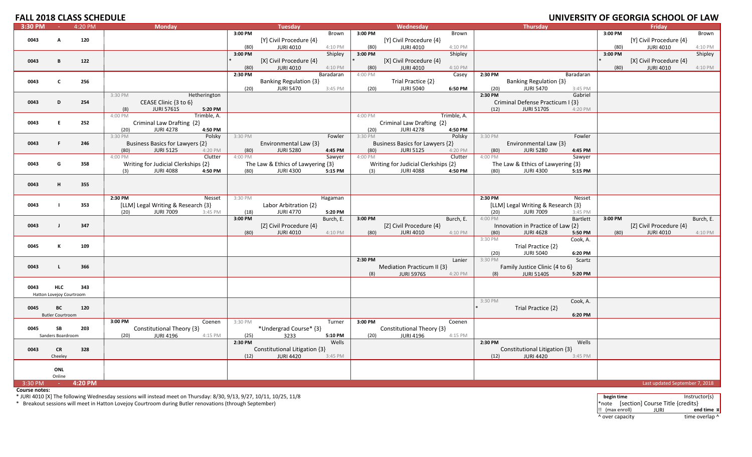# **FALL 2018 CLASS SCHEDULE UNIVERSITY**

| 3:30 PM |                          | 4:20 PM | <b>Monday</b>                                                |                 | <b>Tuesday</b>                       |         | Wednesday                            | <b>Thursday</b>                                               |                     |         | Friday                         |           |
|---------|--------------------------|---------|--------------------------------------------------------------|-----------------|--------------------------------------|---------|--------------------------------------|---------------------------------------------------------------|---------------------|---------|--------------------------------|-----------|
|         |                          |         |                                                              | 3:00 PM         | Brown                                | 3:00 PM | Brown                                |                                                               |                     | 3:00 PM |                                | Brown     |
| 0043    | A                        | 120     |                                                              |                 | [Y] Civil Procedure {4}              |         | [Y] Civil Procedure {4}              |                                                               |                     |         | [Y] Civil Procedure {4}        |           |
|         |                          |         |                                                              | (80)            | <b>JURI 4010</b><br>4:10 PM          | (80)    | <b>JURI 4010</b><br>4:10 PM          |                                                               |                     | (80)    | <b>JURI 4010</b>               | 4:10 PM   |
|         |                          |         |                                                              | 3:00 PM         | Shipley                              | 3:00 PM | Shipley                              |                                                               |                     | 3:00 PM |                                | Shipley   |
| 0043    | B                        | 122     |                                                              |                 | [X] Civil Procedure {4}              |         | [X] Civil Procedure {4}              |                                                               |                     |         | [X] Civil Procedure {4}        |           |
|         |                          |         |                                                              | (80)            | JURI 4010<br>4:10 PM                 | (80)    | <b>JURI 4010</b><br>4:10 PM          |                                                               |                     | (80)    | <b>JURI 4010</b>               | 4:10 PM   |
|         |                          |         |                                                              | 2:30 PM         | Baradaran                            | 4:00 PM | Casey                                | 2:30 PM                                                       | Baradaran           |         |                                |           |
| 0043    | C                        | 256     |                                                              |                 | Banking Regulation {3}               |         | Trial Practice {2}                   | Banking Regulation {3}                                        |                     |         |                                |           |
|         |                          |         |                                                              | (20)            | <b>JURI 5470</b><br>3:45 PM          | (20)    | <b>JURI 5040</b><br>6:50 PM          | <b>JURI 5470</b><br>(20)                                      | 3:45 PM             |         |                                |           |
|         |                          |         | 3:30 PM<br>Hetherington                                      |                 |                                      |         |                                      | 2:30 PM                                                       | Gabriel             |         |                                |           |
| 0043    | D                        | 254     | CEASE Clinic {3 to 6}<br><b>JURI 5761S</b><br>(8)<br>5:20 PM |                 |                                      |         |                                      | Criminal Defense Practicum I {3}<br>(12)<br><b>JURI 5170S</b> | 4:20 PM             |         |                                |           |
|         |                          |         | Trimble, A.<br>$4:00 P\overline{M}$                          |                 |                                      | 4:00 PM | Trimble, A.                          |                                                               |                     |         |                                |           |
| 0043    | E                        | 252     | Criminal Law Drafting {2}                                    |                 |                                      |         | Criminal Law Drafting {2}            |                                                               |                     |         |                                |           |
|         |                          |         | <b>JURI 4278</b><br>(20)<br>4:50 PM                          |                 |                                      | (20)    | <b>JURI 4278</b><br>4:50 PM          |                                                               |                     |         |                                |           |
|         |                          |         | 3:30 PM<br>Polsky                                            | 3:30 PM         | Fowler                               | 3:30 PM | Polsky                               | 3:30 PM                                                       | Fowler              |         |                                |           |
| 0043    | F.                       | 246     | Business Basics for Lawyers {2}                              |                 | Environmental Law {3}                |         | Business Basics for Lawyers {2}      | Environmental Law {3}                                         |                     |         |                                |           |
|         |                          |         | (80)<br><b>JURI 5125</b><br>4:20 PM                          | (80)            | <b>JURI 5280</b><br>4:45 PM          | (80)    | <b>JURI 5125</b><br>4:20 PM          | <b>JURI 5280</b><br>(80)                                      | 4:45 PM             |         |                                |           |
|         |                          |         | 4:00 PM<br>Clutter                                           | 4:00 PM         | Sawyer                               | 4:00 PM | Clutter                              | 4:00 PM                                                       | Sawyer              |         |                                |           |
| 0043    | G                        | 358     | Writing for Judicial Clerkships {2}                          |                 | The Law & Ethics of Lawyering {3}    |         | Writing for Judicial Clerkships {2}  | The Law & Ethics of Lawyering {3}                             |                     |         |                                |           |
|         |                          |         | <b>JURI 4088</b><br>4:50 PM<br>(3)                           | (80)            | <b>JURI 4300</b><br>5:15 PM          | (3)     | <b>JURI 4088</b><br>4:50 PM          | <b>JURI 4300</b><br>(80)                                      | 5:15 PM             |         |                                |           |
|         |                          |         |                                                              |                 |                                      |         |                                      |                                                               |                     |         |                                |           |
| 0043    | Н.                       | 355     |                                                              |                 |                                      |         |                                      |                                                               |                     |         |                                |           |
|         |                          |         |                                                              |                 |                                      |         |                                      |                                                               |                     |         |                                |           |
|         |                          |         | 2:30 PM<br>Nesset                                            | 3:30 PM         | Hagaman                              |         |                                      | 2:30 PM                                                       | Nesset              |         |                                |           |
| 0043    |                          | 353     | [LLM] Legal Writing & Research {3}                           |                 | Labor Arbitration {2}                |         |                                      | [LLM] Legal Writing & Research {3}                            |                     |         |                                |           |
|         |                          |         | (20)<br><b>JURI 7009</b><br>3:45 PM                          | (18)<br>3:00 PM | <b>JURI 4770</b><br>5:20 PM          |         |                                      | (20)<br><b>JURI 7009</b><br>4:00 PM                           | 3:45 PM<br>Bartlett |         |                                |           |
| 0043    | $\blacksquare$           | 347     |                                                              |                 | Burch, E.<br>[Z] Civil Procedure {4} | 3:00 PM | Burch, E.<br>[Z] Civil Procedure {4} | Innovation in Practice of Law {2}                             |                     | 3:00 PM | [Z] Civil Procedure {4}        | Burch, E. |
|         |                          |         |                                                              | (80)            | <b>JURI 4010</b><br>4:10 PM          | (80)    | <b>JURI 4010</b><br>4:10 PM          | <b>JURI 4628</b><br>(80)                                      | 5:50 PM             | (80)    | <b>JURI 4010</b>               | 4:10 PM   |
|         |                          |         |                                                              |                 |                                      |         |                                      | 3:30 PM                                                       | Cook, A.            |         |                                |           |
| 0045    | К                        | 109     |                                                              |                 |                                      |         |                                      | Trial Practice {2}                                            |                     |         |                                |           |
|         |                          |         |                                                              |                 |                                      |         |                                      | <b>JURI 5040</b><br>(20)                                      | 6:20 PM             |         |                                |           |
|         |                          |         |                                                              |                 |                                      | 2:30 PM | Lanier                               | 3:30 PM                                                       | Scartz              |         |                                |           |
| 0043    | τ.                       | 366     |                                                              |                 |                                      |         | Mediation Practicum II {3}           | Family Justice Clinic {4 to 6}                                |                     |         |                                |           |
|         |                          |         |                                                              |                 |                                      | (8)     | <b>JURI 5976S</b><br>4:20 PM         | <b>JURI 5140S</b><br>(8)                                      | 5:20 PM             |         |                                |           |
|         |                          |         |                                                              |                 |                                      |         |                                      |                                                               |                     |         |                                |           |
| 0043    | <b>HLC</b>               | 343     |                                                              |                 |                                      |         |                                      |                                                               |                     |         |                                |           |
|         | Hatton Lovejoy Courtroom |         |                                                              |                 |                                      |         |                                      |                                                               |                     |         |                                |           |
|         |                          |         |                                                              |                 |                                      |         |                                      | 3:30 PM                                                       | Cook, A.            |         |                                |           |
| 0045    | BC                       | 120     |                                                              |                 |                                      |         |                                      | Trial Practice {2}                                            |                     |         |                                |           |
|         | <b>Butler Courtroom</b>  |         | 3:00 PM<br>Coenen                                            | 3:30 PM         | Turner                               | 3:00 PM | Coenen                               |                                                               | 6:20 PM             |         |                                |           |
| 0045    | SB                       | 203     | Constitutional Theory {3}                                    |                 | *Undergrad Course* {3}               |         | Constitutional Theory {3}            |                                                               |                     |         |                                |           |
|         | Sanders Boardroom        |         | <b>JURI 4196</b><br>(20)<br>4:15 PM                          | (25)            | 3233<br>5:10 PM                      | (20)    | <b>JURI 4196</b><br>4:15 PM          |                                                               |                     |         |                                |           |
|         |                          |         |                                                              | 2:30 PM         | Wells                                |         |                                      | 2:30 PM                                                       | Wells               |         |                                |           |
| 0043    | <b>CR</b>                | 328     |                                                              |                 | Constitutional Litigation {3}        |         |                                      | Constitutional Litigation {3}                                 |                     |         |                                |           |
|         | Cheeley                  |         |                                                              | (12)            | <b>JURI 4420</b><br>3:45 PM          |         |                                      | <b>JURI 4420</b><br>(12)                                      | 3:45 PM             |         |                                |           |
|         |                          |         |                                                              |                 |                                      |         |                                      |                                                               |                     |         |                                |           |
|         | ONL                      |         |                                                              |                 |                                      |         |                                      |                                                               |                     |         |                                |           |
|         | Online                   |         |                                                              |                 |                                      |         |                                      |                                                               |                     |         |                                |           |
| 3:30 PM | $\sim 100$               | 4:20 PM |                                                              |                 |                                      |         |                                      |                                                               |                     |         | Last updated September 7, 2018 |           |

**Course notes:**

\* JURI 4010 [X] The following Wednesday sessions will instead meet on Thursday: 8/30, 9/13, 9/27, 10/11, 10/25, 11/8<br>\* Breakout sessions will meet in Hatton Lovejoy Courtroom during Butler renovations (through September)

!! (max enroll) JURI **end time ¤** ^ over capacity dime overlap ^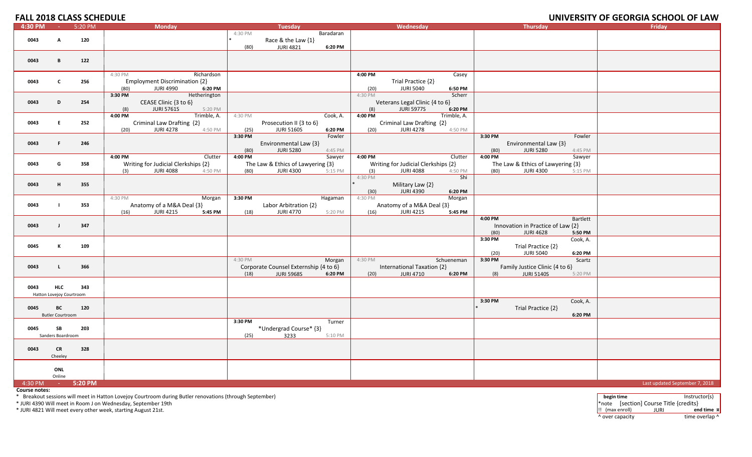## **OF GEORGIA SCHOOL OF LAW**

| 4:30 PM | <b>College</b>           | 5:20 PM | <b>Monday</b>                        |         | <b>Tuesday</b>                                             |           |           | Wednesday                           |             |                 | <b>Thursday</b>                                     |                   | .<br>Friday                    |
|---------|--------------------------|---------|--------------------------------------|---------|------------------------------------------------------------|-----------|-----------|-------------------------------------|-------------|-----------------|-----------------------------------------------------|-------------------|--------------------------------|
|         |                          |         |                                      | 4:30 PM |                                                            | Baradaran |           |                                     |             |                 |                                                     |                   |                                |
| 0043    | $\mathsf{A}$             | 120     |                                      |         | Race & the Law {1}                                         |           |           |                                     |             |                 |                                                     |                   |                                |
|         |                          |         |                                      | (80)    | <b>JURI 4821</b>                                           | 6:20 PM   |           |                                     |             |                 |                                                     |                   |                                |
|         |                          |         |                                      |         |                                                            |           |           |                                     |             |                 |                                                     |                   |                                |
| 0043    | B                        | 122     |                                      |         |                                                            |           |           |                                     |             |                 |                                                     |                   |                                |
|         |                          |         |                                      |         |                                                            |           |           |                                     |             |                 |                                                     |                   |                                |
|         |                          |         | 4:30 PM<br>Richardson                |         |                                                            |           | 4:00 PM   |                                     | Casey       |                 |                                                     |                   |                                |
| 0043    | C                        | 256     | <b>Employment Discrimination {2}</b> |         |                                                            |           |           | Trial Practice {2}                  |             |                 |                                                     |                   |                                |
|         |                          |         | <b>JURI 4990</b><br>(80)<br>6:20 PM  |         |                                                            |           | (20)      | <b>JURI 5040</b>                    | 6:50 PM     |                 |                                                     |                   |                                |
|         |                          |         | 3:30 PM<br>Hetherington              |         |                                                            |           | 4:30 PM   |                                     | Scherr      |                 |                                                     |                   |                                |
| 0043    | D                        | 254     | CEASE Clinic {3 to 6}                |         |                                                            |           |           | Veterans Legal Clinic {4 to 6}      |             |                 |                                                     |                   |                                |
|         |                          |         | <b>JURI 5761S</b><br>(8)<br>5:20 PM  |         |                                                            |           | (8)       | <b>JURI 5977S</b>                   | 6:20 PM     |                 |                                                     |                   |                                |
|         |                          |         | Trimble, A.<br>4:00 PM               | 4:30 PM |                                                            | Cook, A.  | $4:00$ PM |                                     | Trimble, A. |                 |                                                     |                   |                                |
| 0043    | E                        | 252     | Criminal Law Drafting {2}            |         | Prosecution II {3 to 6}                                    |           |           | Criminal Law Drafting {2}           |             |                 |                                                     |                   |                                |
|         |                          |         | <b>JURI 4278</b><br>(20)<br>4:50 PM  | (25)    | <b>JURI 5160S</b>                                          | 6:20 PM   | (20)      | <b>JURI 4278</b>                    | 4:50 PM     |                 |                                                     |                   |                                |
|         |                          |         |                                      | 3:30 PM |                                                            | Fowler    |           |                                     |             | 3:30 PM         |                                                     | Fowler            |                                |
| 0043    | F.                       | 246     |                                      |         | Environmental Law {3}                                      |           |           |                                     |             |                 | Environmental Law {3}                               |                   |                                |
|         |                          |         |                                      | (80)    | <b>JURI 5280</b>                                           | 4:45 PM   |           |                                     |             | (80)            | <b>JURI 5280</b>                                    | 4:45 PM           |                                |
|         |                          |         | 4:00 PM<br>Clutter                   | 4:00 PM |                                                            | Sawyer    | 4:00 PM   |                                     | Clutter     | 4:00 PM         |                                                     | Sawyer            |                                |
| 0043    | G                        | 358     | Writing for Judicial Clerkships {2}  |         | The Law & Ethics of Lawyering {3}                          |           |           | Writing for Judicial Clerkships {2} |             |                 | The Law & Ethics of Lawyering {3}                   |                   |                                |
|         |                          |         | <b>JURI 4088</b><br>4:50 PM<br>(3)   | (80)    | <b>JURI 4300</b>                                           | 5:15 PM   | (3)       | <b>JURI 4088</b>                    | 4:50 PM     | (80)            | <b>JURI 4300</b>                                    | 5:15 PM           |                                |
|         |                          |         |                                      |         |                                                            |           | 4:30 PM   |                                     | Shi         |                 |                                                     |                   |                                |
| 0043    | н                        | 355     |                                      |         |                                                            |           |           | Military Law {2}                    |             |                 |                                                     |                   |                                |
|         |                          |         |                                      |         |                                                            |           | (30)      | <b>JURI 4390</b>                    | 6:20 PM     |                 |                                                     |                   |                                |
|         |                          |         | 4:30 PM<br>Morgan                    | 3:30 PM |                                                            | Hagaman   | 4:30 PM   |                                     | Morgan      |                 |                                                     |                   |                                |
| 0043    | - 1                      | 353     | Anatomy of a M&A Deal {3}            |         | Labor Arbitration {2}                                      |           |           | Anatomy of a M&A Deal {3}           |             |                 |                                                     |                   |                                |
|         |                          |         | (16)<br><b>JURI 4215</b><br>5:45 PM  | (18)    | <b>JURI 4770</b>                                           | 5:20 PM   | (16)      | JURI 4215                           | 5:45 PM     |                 |                                                     |                   |                                |
|         |                          |         |                                      |         |                                                            |           |           |                                     |             | 4:00 PM         |                                                     | Bartlett          |                                |
| 0043    | - 1                      | 347     |                                      |         |                                                            |           |           |                                     |             |                 | Innovation in Practice of Law {2}                   |                   |                                |
|         |                          |         |                                      |         |                                                            |           |           |                                     |             | (80)            | <b>JURI 4628</b>                                    | 5:50 PM           |                                |
|         | к                        |         |                                      |         |                                                            |           |           |                                     |             | 3:30 PM         |                                                     | Cook, A.          |                                |
| 0045    |                          | 109     |                                      |         |                                                            |           |           |                                     |             |                 | Trial Practice {2}                                  |                   |                                |
|         |                          |         |                                      | 4:30 PM |                                                            |           | 4:30 PM   |                                     | Schueneman  | (20)<br>3:30 PM | <b>JURI 5040</b>                                    | 6:20 PM<br>Scartz |                                |
| 0043    | L.                       | 366     |                                      |         |                                                            | Morgan    |           | International Taxation {2}          |             |                 |                                                     |                   |                                |
|         |                          |         |                                      | (18)    | Corporate Counsel Externship {4 to 6}<br><b>JURI 5968S</b> | 6:20 PM   | (20)      | <b>JURI 4710</b>                    | 6:20 PM     | (8)             | Family Justice Clinic {4 to 6}<br><b>JURI 5140S</b> | 5:20 PM           |                                |
|         |                          |         |                                      |         |                                                            |           |           |                                     |             |                 |                                                     |                   |                                |
| 0043    | <b>HLC</b>               | 343     |                                      |         |                                                            |           |           |                                     |             |                 |                                                     |                   |                                |
|         | Hatton Lovejoy Courtroom |         |                                      |         |                                                            |           |           |                                     |             |                 |                                                     |                   |                                |
|         |                          |         |                                      |         |                                                            |           |           |                                     |             | 3:30 PM         |                                                     | Cook, A.          |                                |
| 0045    | BC                       | 120     |                                      |         |                                                            |           |           |                                     |             |                 | Trial Practice {2}                                  |                   |                                |
|         | <b>Butler Courtroom</b>  |         |                                      |         |                                                            |           |           |                                     |             |                 |                                                     | 6:20 PM           |                                |
|         |                          |         |                                      | 3:30 PM |                                                            | Turner    |           |                                     |             |                 |                                                     |                   |                                |
| 0045    | SB                       | 203     |                                      |         | *Undergrad Course* {3}                                     |           |           |                                     |             |                 |                                                     |                   |                                |
|         | Sanders Boardroom        |         |                                      | (25)    | 3233                                                       | 5:10 PM   |           |                                     |             |                 |                                                     |                   |                                |
|         |                          |         |                                      |         |                                                            |           |           |                                     |             |                 |                                                     |                   |                                |
| 0043    | <b>CR</b>                | 328     |                                      |         |                                                            |           |           |                                     |             |                 |                                                     |                   |                                |
|         | Cheeley                  |         |                                      |         |                                                            |           |           |                                     |             |                 |                                                     |                   |                                |
|         |                          |         |                                      |         |                                                            |           |           |                                     |             |                 |                                                     |                   |                                |
|         | ONL                      |         |                                      |         |                                                            |           |           |                                     |             |                 |                                                     |                   |                                |
|         | Online                   |         |                                      |         |                                                            |           |           |                                     |             |                 |                                                     |                   |                                |
| 4:30 PM | <b>Contractor</b>        | 5:20 PM |                                      |         |                                                            |           |           |                                     |             |                 |                                                     |                   | Last updated September 7, 2018 |

**Course notes:**

\* Breakout sessions will meet in Hatton Lovejoy Courtroom during Butler renovations (through September) **begin time** Instructor(s)

\* JURI 4390 Will meet in Room

\* JURI 4821 Will meet every other week, starting August 21st. !! (max enroll) JURI **end time ¤**

\*note [section] Course Title {credits}<br> $\frac{1}{2}$  (max enroll) JURI end time x ^ over capacity dime overlap ^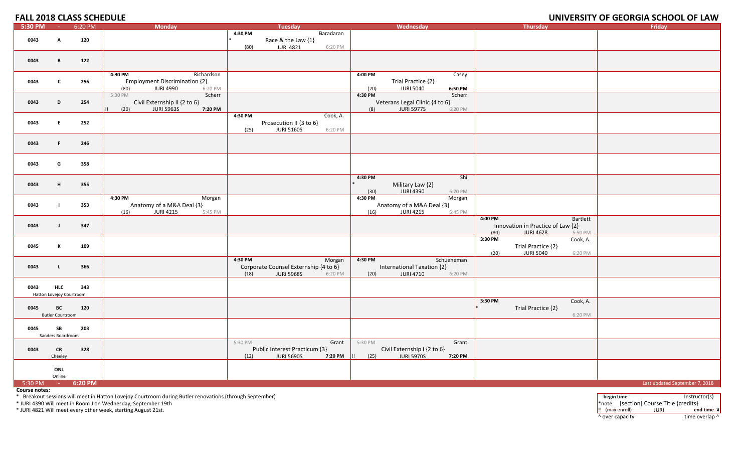#### **OF GEORGIA SCHOOL OF LAW**

| 5:30 PM               | <b>Common</b>                          | 6:20 PM | <b>Monday</b>                                                                                        | Tuesday                                                                                            | Wednesday                                                                                               | <b>Thursday</b>                                                                                 | Friday                         |
|-----------------------|----------------------------------------|---------|------------------------------------------------------------------------------------------------------|----------------------------------------------------------------------------------------------------|---------------------------------------------------------------------------------------------------------|-------------------------------------------------------------------------------------------------|--------------------------------|
| 0043                  | A                                      | 120     |                                                                                                      | 4:30 PM<br>Baradaran<br>Race & the Law {1}                                                         |                                                                                                         |                                                                                                 |                                |
| 0043                  | B                                      | 122     |                                                                                                      | 6:20 PM<br>(80)<br><b>JURI 4821</b>                                                                |                                                                                                         |                                                                                                 |                                |
|                       |                                        |         |                                                                                                      |                                                                                                    |                                                                                                         |                                                                                                 |                                |
| 0043                  | C                                      | 256     | Richardson<br>4:30 PM<br><b>Employment Discrimination {2}</b><br><b>JURI 4990</b><br>(80)<br>6:20 PM |                                                                                                    | 4:00 PM<br>Casey<br>Trial Practice {2}<br><b>JURI 5040</b><br>6:50 PM<br>(20)                           |                                                                                                 |                                |
| 0043                  | D                                      | 254     | Scherr<br>5:30 PM<br>Civil Externship II {2 to 6}<br>(20)<br><b>JURI 5963S</b><br>7:20 PM            |                                                                                                    | 4:30 PM<br>Scherr<br>Veterans Legal Clinic {4 to 6}<br>(8)<br><b>JURI 5977S</b><br>6:20 PM              |                                                                                                 |                                |
| 0043                  | E                                      | 252     |                                                                                                      | 4:30 PM<br>Cook, A.<br>Prosecution II {3 to 6}<br>(25)<br><b>JURI 5160S</b><br>6:20 PM             |                                                                                                         |                                                                                                 |                                |
| 0043                  | $\mathbf{F}$                           | 246     |                                                                                                      |                                                                                                    |                                                                                                         |                                                                                                 |                                |
| 0043                  | G                                      | 358     |                                                                                                      |                                                                                                    |                                                                                                         |                                                                                                 |                                |
| 0043                  | H                                      | 355     |                                                                                                      |                                                                                                    | Shi<br>4:30 PM<br>Military Law {2}<br><b>JURI 4390</b><br>6:20 PM<br>(30)                               |                                                                                                 |                                |
| 0043                  |                                        | 353     | 4:30 PM<br>Morgan<br>Anatomy of a M&A Deal {3}<br>JURI 4215<br>(16)<br>5:45 PM                       |                                                                                                    | 4:30 PM<br>Morgan<br>Anatomy of a M&A Deal {3}<br>JURI 4215<br>(16)<br>5:45 PM                          |                                                                                                 |                                |
| 0043                  | $\mathbf{J}$                           | 347     |                                                                                                      |                                                                                                    |                                                                                                         | 4:00 PM<br>Bartlett<br>Innovation in Practice of Law {2}<br>(80)<br><b>JURI 4628</b><br>5:50 PM |                                |
| 0045                  | к                                      | 109     |                                                                                                      |                                                                                                    |                                                                                                         | 3:30 PM<br>Cook, A.<br>Trial Practice {2}<br>(20)<br><b>JURI 5040</b><br>6:20 PM                |                                |
| 0043                  | τ.                                     | 366     |                                                                                                      | 4:30 PM<br>Morgan<br>Corporate Counsel Externship {4 to 6}<br>(18)<br><b>JURI 5968S</b><br>6:20 PM | 4:30 PM<br>Schueneman<br>International Taxation {2}<br><b>JURI 4710</b><br>6:20 PM<br>(20)              |                                                                                                 |                                |
| 0043                  | <b>HLC</b><br>Hatton Lovejoy Courtroom | 343     |                                                                                                      |                                                                                                    |                                                                                                         |                                                                                                 |                                |
| 0045                  | BC<br><b>Butler Courtroom</b>          | 120     |                                                                                                      |                                                                                                    |                                                                                                         | 3:30 PM<br>Cook, A.<br>Trial Practice {2}<br>6:20 PM                                            |                                |
| 0045                  | SB<br>Sanders Boardroom                | 203     |                                                                                                      |                                                                                                    |                                                                                                         |                                                                                                 |                                |
| 0043                  | <b>CR</b><br>Cheeley                   | 328     |                                                                                                      | 5:30 PM<br>Grant<br>Public Interest Practicum {3}<br><b>JURI 5690S</b><br>7:20 PM<br>(12)          | 5:30 PM<br>Grant<br>Civil Externship I {2 to 6}<br><b>JURI 5970S</b><br>(25)<br>7:20 PM<br>$\mathbf{H}$ |                                                                                                 |                                |
|                       | ONL<br>Online                          |         |                                                                                                      |                                                                                                    |                                                                                                         |                                                                                                 |                                |
| $5:30 \, \text{PM}$ - |                                        | 6:20 PM |                                                                                                      |                                                                                                    |                                                                                                         |                                                                                                 | Last updated September 7, 2018 |

**Course notes:**

\* Breakout sessions will meet in Hatton Lovejoy Courtroom during Butler renovations (through September) **begin time** Instructor(s)

\* JURI 4390 Will meet in Room

\* JURI 4821 Will meet every other week, starting August 21st. !! (max enroll) JURI **end time ¤**

\*note [section] Course Title {credits}<br> $\vdots$  (max enroll) JURI end time x ^ over capacity dime overlap ^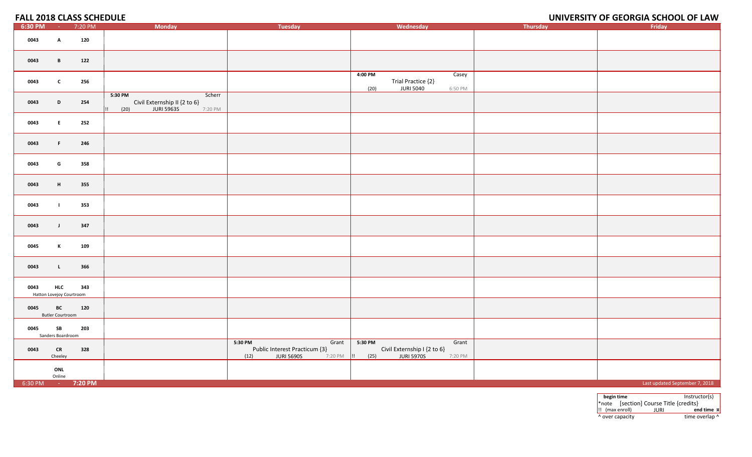#### **OF GEORGIA SCHOOL OF LAW**

| 6:30 PM           | $\sim 100$                             | 7:20 PM | <b>Monday</b>                                                                                 | Tuesday                                                                        | Wednesday                                                                                              | Thursday | Friday                         |
|-------------------|----------------------------------------|---------|-----------------------------------------------------------------------------------------------|--------------------------------------------------------------------------------|--------------------------------------------------------------------------------------------------------|----------|--------------------------------|
| 0043              | A                                      | 120     |                                                                                               |                                                                                |                                                                                                        |          |                                |
| 0043              | B                                      | 122     |                                                                                               |                                                                                |                                                                                                        |          |                                |
| 0043              | $\mathbf{c}$                           | 256     |                                                                                               |                                                                                | 4:00 PM<br>Casey<br>Trial Practice {2}<br><b>JURI 5040</b><br>(20)<br>6:50 PM                          |          |                                |
| 0043              | D                                      | 254     | 5:30 PM<br>Scherr<br>Civil Externship II {2 to 6}<br>JURI 5963S<br>$\vert$ !! (20)<br>7:20 PM |                                                                                |                                                                                                        |          |                                |
| 0043              | E.                                     | 252     |                                                                                               |                                                                                |                                                                                                        |          |                                |
| 0043              | F.                                     | 246     |                                                                                               |                                                                                |                                                                                                        |          |                                |
| 0043              | G                                      | 358     |                                                                                               |                                                                                |                                                                                                        |          |                                |
| 0043              | H                                      | 355     |                                                                                               |                                                                                |                                                                                                        |          |                                |
| 0043              | $\blacksquare$                         | 353     |                                                                                               |                                                                                |                                                                                                        |          |                                |
| 0043              | $\mathbf{J}$                           | 347     |                                                                                               |                                                                                |                                                                                                        |          |                                |
| 0045              | K                                      | 109     |                                                                                               |                                                                                |                                                                                                        |          |                                |
| 0043              | $\mathbf{L}$                           | 366     |                                                                                               |                                                                                |                                                                                                        |          |                                |
| 0043              | <b>HLC</b><br>Hatton Lovejoy Courtroom | 343     |                                                                                               |                                                                                |                                                                                                        |          |                                |
| 0045              | BC<br><b>Butler Courtroom</b>          | 120     |                                                                                               |                                                                                |                                                                                                        |          |                                |
| 0045              | SB<br>Sanders Boardroom                | 203     |                                                                                               |                                                                                |                                                                                                        |          |                                |
| 0043              | CR<br>Cheeley                          | 328     |                                                                                               | 5:30 PM<br>Grant<br>Public Interest Practicum {3}<br>(12)<br><b>JURI 5690S</b> | $5:30$ PM<br>Grant<br>Civil Externship I {2 to 6}<br>7:20 PM      (25)<br><b>JURI 5970S</b><br>7:20 PM |          |                                |
|                   | ONL<br>Online                          |         |                                                                                               |                                                                                |                                                                                                        |          |                                |
| 6:30 PM - 7:20 PM |                                        |         |                                                                                               |                                                                                |                                                                                                        |          | Last updated September 7, 2018 |

**begin time** Instructor(s) \*note [section] Course Title {credits} !! (max enroll) JURI **end time ¤** ^ over capacity dime overlap ^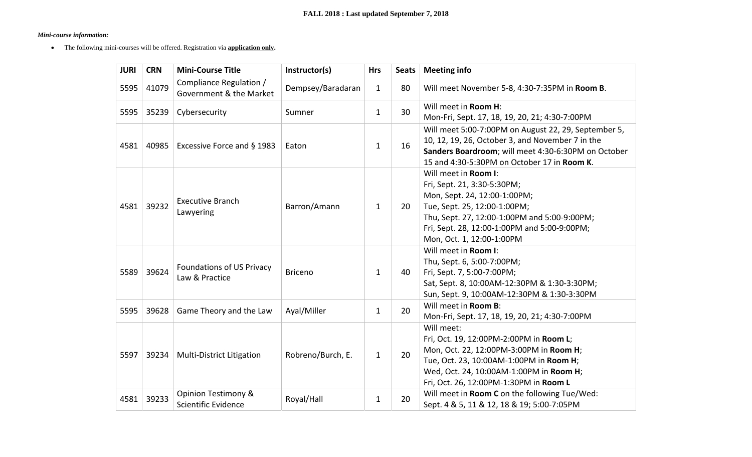# *Mini-course information:*

• The following mini-courses will be offered. Registration via **application only.** 

| <b>JURI</b> | <b>CRN</b> | <b>Mini-Course Title</b>                           | Instructor(s)     | <b>Hrs</b>   | <b>Seats</b> | <b>Meeting info</b>                                                                                                                                                                                                                              |  |
|-------------|------------|----------------------------------------------------|-------------------|--------------|--------------|--------------------------------------------------------------------------------------------------------------------------------------------------------------------------------------------------------------------------------------------------|--|
| 5595        | 41079      | Compliance Regulation /<br>Government & the Market | Dempsey/Baradaran | $\mathbf{1}$ | 80           | Will meet November 5-8, 4:30-7:35PM in Room B.                                                                                                                                                                                                   |  |
| 5595        | 35239      | Cybersecurity                                      | Sumner            | $\mathbf{1}$ | 30           | Will meet in Room H:<br>Mon-Fri, Sept. 17, 18, 19, 20, 21; 4:30-7:00PM                                                                                                                                                                           |  |
| 4581        | 40985      | Excessive Force and § 1983                         | Eaton             | $\mathbf{1}$ | 16           | Will meet 5:00-7:00PM on August 22, 29, September 5,<br>10, 12, 19, 26, October 3, and November 7 in the<br>Sanders Boardroom; will meet 4:30-6:30PM on October<br>15 and 4:30-5:30PM on October 17 in Room K.                                   |  |
| 4581        | 39232      | <b>Executive Branch</b><br>Lawyering               | Barron/Amann      | $\mathbf{1}$ | 20           | Will meet in Room I:<br>Fri, Sept. 21, 3:30-5:30PM;<br>Mon, Sept. 24, 12:00-1:00PM;<br>Tue, Sept. 25, 12:00-1:00PM;<br>Thu, Sept. 27, 12:00-1:00PM and 5:00-9:00PM;<br>Fri, Sept. 28, 12:00-1:00PM and 5:00-9:00PM;<br>Mon, Oct. 1, 12:00-1:00PM |  |
| 5589        | 39624      | Foundations of US Privacy<br>Law & Practice        | <b>Briceno</b>    | $\mathbf{1}$ | 40           | Will meet in Room I:<br>Thu, Sept. 6, 5:00-7:00PM;<br>Fri, Sept. 7, 5:00-7:00PM;<br>Sat, Sept. 8, 10:00AM-12:30PM & 1:30-3:30PM;<br>Sun, Sept. 9, 10:00AM-12:30PM & 1:30-3:30PM                                                                  |  |
| 5595        | 39628      | Game Theory and the Law                            | Ayal/Miller       | $\mathbf{1}$ | 20           | Will meet in Room B:<br>Mon-Fri, Sept. 17, 18, 19, 20, 21; 4:30-7:00PM                                                                                                                                                                           |  |
| 5597        | 39234      | <b>Multi-District Litigation</b>                   | Robreno/Burch, E. | $\mathbf{1}$ | 20           | Will meet:<br>Fri, Oct. 19, 12:00PM-2:00PM in Room L;<br>Mon, Oct. 22, 12:00PM-3:00PM in Room H;<br>Tue, Oct. 23, 10:00AM-1:00PM in Room H;<br>Wed, Oct. 24, 10:00AM-1:00PM in Room H;<br>Fri, Oct. 26, 12:00PM-1:30PM in Room L                 |  |
| 4581        | 39233      | Opinion Testimony &<br>Scientific Evidence         | Royal/Hall        | 1            | 20           | Will meet in Room C on the following Tue/Wed:<br>Sept. 4 & 5, 11 & 12, 18 & 19; 5:00-7:05PM                                                                                                                                                      |  |